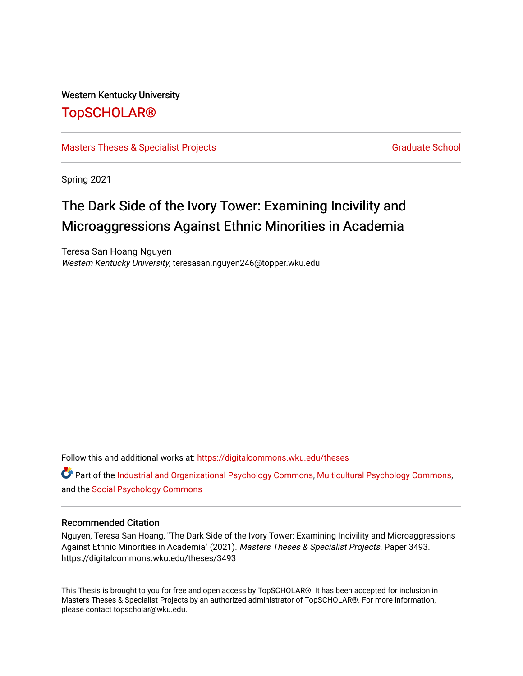## Western Kentucky University

# [TopSCHOLAR®](https://digitalcommons.wku.edu/)

# [Masters Theses & Specialist Projects](https://digitalcommons.wku.edu/theses) [Graduate School](https://digitalcommons.wku.edu/Graduate) Craduate School Craduate School

Spring 2021

# The Dark Side of the Ivory Tower: Examining Incivility and Microaggressions Against Ethnic Minorities in Academia

Teresa San Hoang Nguyen Western Kentucky University, teresasan.nguyen246@topper.wku.edu

Follow this and additional works at: [https://digitalcommons.wku.edu/theses](https://digitalcommons.wku.edu/theses?utm_source=digitalcommons.wku.edu%2Ftheses%2F3493&utm_medium=PDF&utm_campaign=PDFCoverPages) 

**C** Part of the [Industrial and Organizational Psychology Commons,](http://network.bepress.com/hgg/discipline/412?utm_source=digitalcommons.wku.edu%2Ftheses%2F3493&utm_medium=PDF&utm_campaign=PDFCoverPages) [Multicultural Psychology Commons,](http://network.bepress.com/hgg/discipline/1237?utm_source=digitalcommons.wku.edu%2Ftheses%2F3493&utm_medium=PDF&utm_campaign=PDFCoverPages) and the [Social Psychology Commons](http://network.bepress.com/hgg/discipline/414?utm_source=digitalcommons.wku.edu%2Ftheses%2F3493&utm_medium=PDF&utm_campaign=PDFCoverPages) 

## Recommended Citation

Nguyen, Teresa San Hoang, "The Dark Side of the Ivory Tower: Examining Incivility and Microaggressions Against Ethnic Minorities in Academia" (2021). Masters Theses & Specialist Projects. Paper 3493. https://digitalcommons.wku.edu/theses/3493

This Thesis is brought to you for free and open access by TopSCHOLAR®. It has been accepted for inclusion in Masters Theses & Specialist Projects by an authorized administrator of TopSCHOLAR®. For more information, please contact topscholar@wku.edu.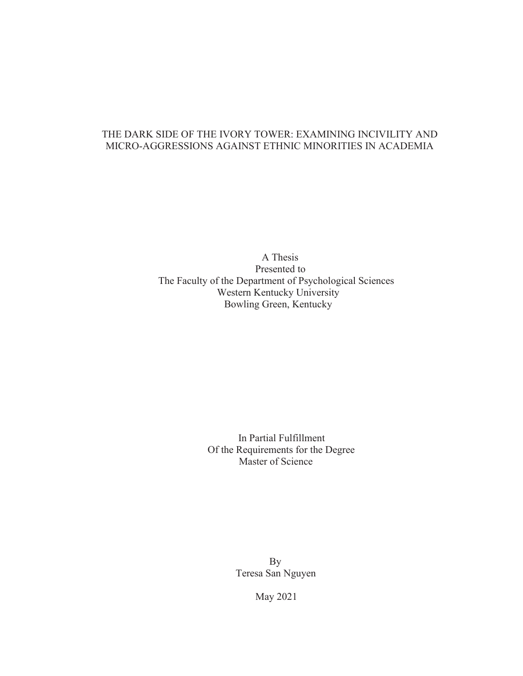# THE DARK SIDE OF THE IVORY TOWER: EXAMINING INCIVILITY AND MICRO-AGGRESSIONS AGAINST ETHNIC MINORITIES IN ACADEMIA

A Thesis Presented to The Faculty of the Department of Psychological Sciences Western Kentucky University Bowling Green, Kentucky

> In Partial Fulfillment Of the Requirements for the Degree Master of Science

> > By Teresa San Nguyen

> > > May 2021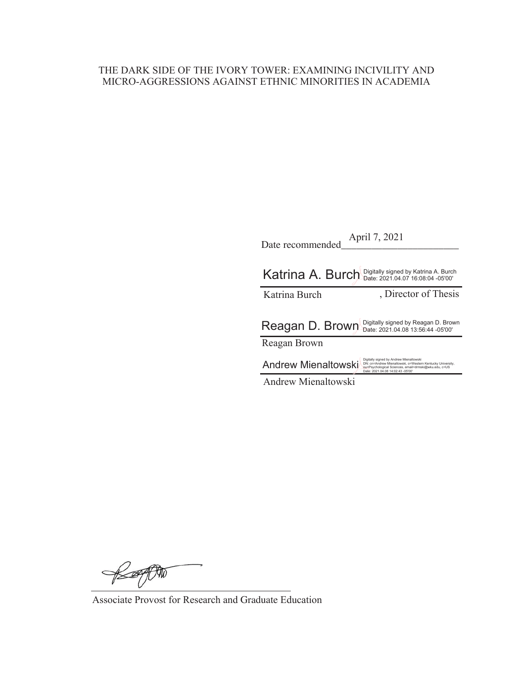# THE DARK SIDE OF THE IVORY TOWER: EXAMINING INCIVILITY AND MICRO-AGGRESSIONS AGAINST ETHNIC MINORITIES IN ACADEMIA

| Date recommended                                      | April 7, 2021                                                                                                                                                                                       |
|-------------------------------------------------------|-----------------------------------------------------------------------------------------------------------------------------------------------------------------------------------------------------|
| Katrina A. Burch Digitally signed by Katrina A. Burch |                                                                                                                                                                                                     |
| Katrina Burch                                         | , Director of Thesis                                                                                                                                                                                |
| Reagan D. Brown                                       | Digitally signed by Reagan D. Brown<br>Date: 2021.04.08 13:56:44 -05'00'                                                                                                                            |
| Reagan Brown                                          |                                                                                                                                                                                                     |
| <b>Andrew Mienaltowski</b>                            | Digitally signed by Andrew Mienaltowski<br>DN: cn=Andrew Mienaltowski, o=Western Kentucky University.<br>ou=Psychological Sciences, email=drmski@wku.edu, c=US<br>Date: 2021.04.08 14:02:43 -05'00' |
| <b>Andrew Mienaltowski</b>                            |                                                                                                                                                                                                     |

KOPP

Associate Provost for Research and Graduate Education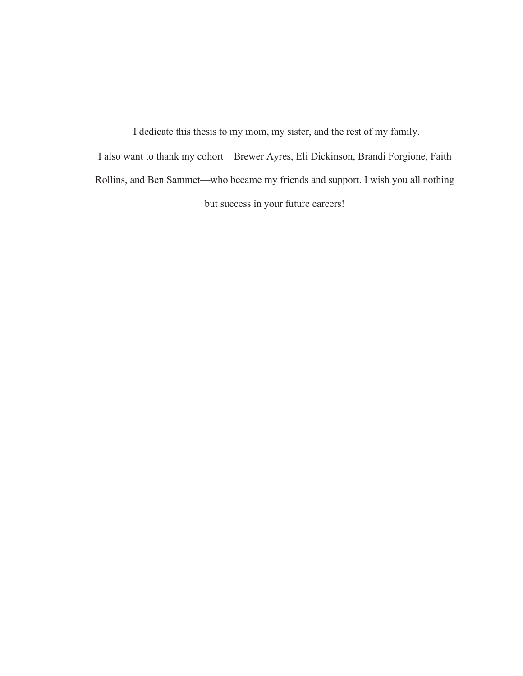I dedicate this thesis to my mom, my sister, and the rest of my family. I also want to thank my cohort—Brewer Ayres, Eli Dickinson, Brandi Forgione, Faith Rollins, and Ben Sammet—who became my friends and support. I wish you all nothing but success in your future careers!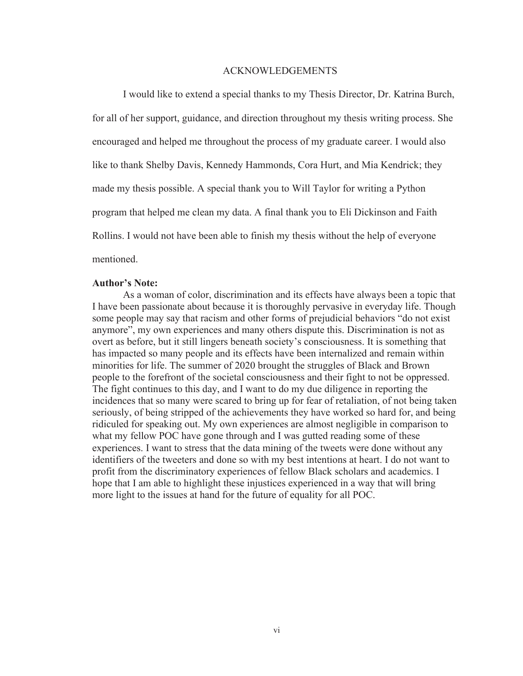#### ACKNOWLEDGEMENTS

I would like to extend a special thanks to my Thesis Director, Dr. Katrina Burch, for all of her support, guidance, and direction throughout my thesis writing process. She encouraged and helped me throughout the process of my graduate career. I would also like to thank Shelby Davis, Kennedy Hammonds, Cora Hurt, and Mia Kendrick; they made my thesis possible. A special thank you to Will Taylor for writing a Python program that helped me clean my data. A final thank you to Eli Dickinson and Faith Rollins. I would not have been able to finish my thesis without the help of everyone mentioned.

#### **Author's Note:**

As a woman of color, discrimination and its effects have always been a topic that I have been passionate about because it is thoroughly pervasive in everyday life. Though some people may say that racism and other forms of prejudicial behaviors "do not exist anymore", my own experiences and many others dispute this. Discrimination is not as overt as before, but it still lingers beneath society's consciousness. It is something that has impacted so many people and its effects have been internalized and remain within minorities for life. The summer of 2020 brought the struggles of Black and Brown people to the forefront of the societal consciousness and their fight to not be oppressed. The fight continues to this day, and I want to do my due diligence in reporting the incidences that so many were scared to bring up for fear of retaliation, of not being taken seriously, of being stripped of the achievements they have worked so hard for, and being ridiculed for speaking out. My own experiences are almost negligible in comparison to what my fellow POC have gone through and I was gutted reading some of these experiences. I want to stress that the data mining of the tweets were done without any identifiers of the tweeters and done so with my best intentions at heart. I do not want to profit from the discriminatory experiences of fellow Black scholars and academics. I hope that I am able to highlight these injustices experienced in a way that will bring more light to the issues at hand for the future of equality for all POC.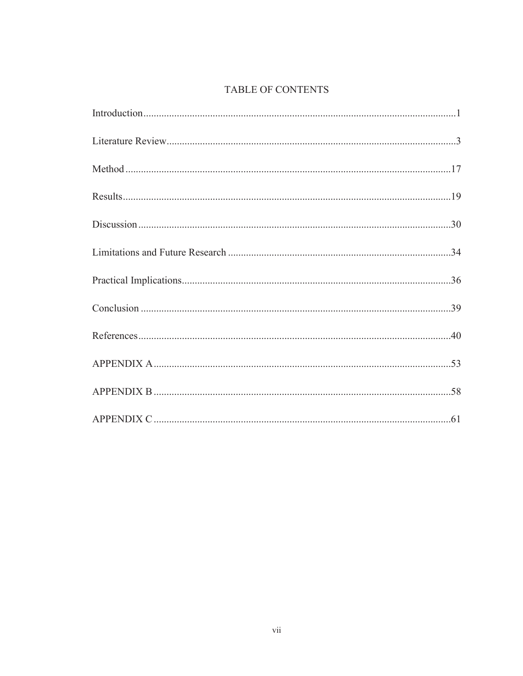# **TABLE OF CONTENTS**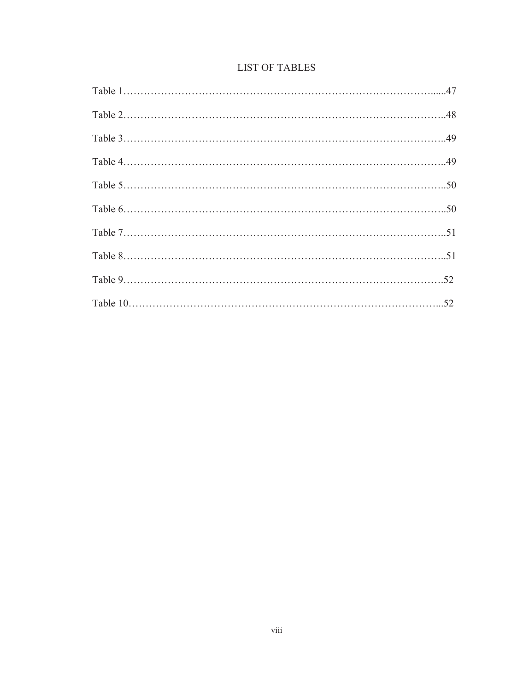|  |  | <b>LIST OF TABLES</b> |
|--|--|-----------------------|
|--|--|-----------------------|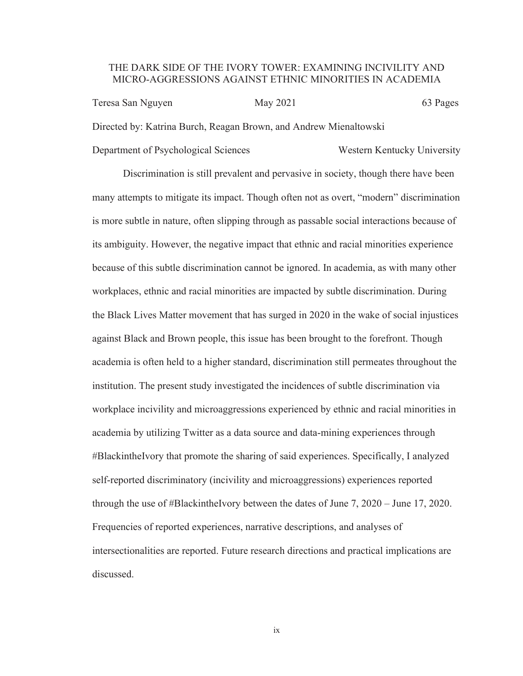## THE DARK SIDE OF THE IVORY TOWER: EXAMINING INCIVILITY AND MICRO-AGGRESSIONS AGAINST ETHNIC MINORITIES IN ACADEMIA

Teresa San Nguyen May 2021 63 Pages Directed by: Katrina Burch, Reagan Brown, and Andrew Mienaltowski

Department of Psychological Sciences Western Kentucky University

Discrimination is still prevalent and pervasive in society, though there have been many attempts to mitigate its impact. Though often not as overt, "modern" discrimination is more subtle in nature, often slipping through as passable social interactions because of its ambiguity. However, the negative impact that ethnic and racial minorities experience because of this subtle discrimination cannot be ignored. In academia, as with many other workplaces, ethnic and racial minorities are impacted by subtle discrimination. During the Black Lives Matter movement that has surged in 2020 in the wake of social injustices against Black and Brown people, this issue has been brought to the forefront. Though academia is often held to a higher standard, discrimination still permeates throughout the institution. The present study investigated the incidences of subtle discrimination via workplace incivility and microaggressions experienced by ethnic and racial minorities in academia by utilizing Twitter as a data source and data-mining experiences through #BlackintheIvory that promote the sharing of said experiences. Specifically, I analyzed self-reported discriminatory (incivility and microaggressions) experiences reported through the use of #BlackintheIvory between the dates of June 7, 2020 – June 17, 2020. Frequencies of reported experiences, narrative descriptions, and analyses of intersectionalities are reported. Future research directions and practical implications are discussed.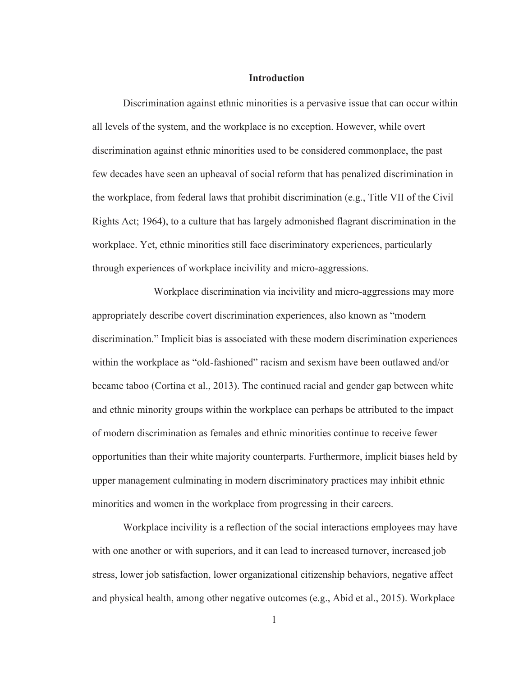#### **Introduction**

Discrimination against ethnic minorities is a pervasive issue that can occur within all levels of the system, and the workplace is no exception. However, while overt discrimination against ethnic minorities used to be considered commonplace, the past few decades have seen an upheaval of social reform that has penalized discrimination in the workplace, from federal laws that prohibit discrimination (e.g., Title VII of the Civil Rights Act; 1964), to a culture that has largely admonished flagrant discrimination in the workplace. Yet, ethnic minorities still face discriminatory experiences, particularly through experiences of workplace incivility and micro-aggressions.

 Workplace discrimination via incivility and micro-aggressions may more appropriately describe covert discrimination experiences, also known as "modern discrimination." Implicit bias is associated with these modern discrimination experiences within the workplace as "old-fashioned" racism and sexism have been outlawed and/or became taboo (Cortina et al., 2013). The continued racial and gender gap between white and ethnic minority groups within the workplace can perhaps be attributed to the impact of modern discrimination as females and ethnic minorities continue to receive fewer opportunities than their white majority counterparts. Furthermore, implicit biases held by upper management culminating in modern discriminatory practices may inhibit ethnic minorities and women in the workplace from progressing in their careers.

Workplace incivility is a reflection of the social interactions employees may have with one another or with superiors, and it can lead to increased turnover, increased job stress, lower job satisfaction, lower organizational citizenship behaviors, negative affect and physical health, among other negative outcomes (e.g., Abid et al., 2015). Workplace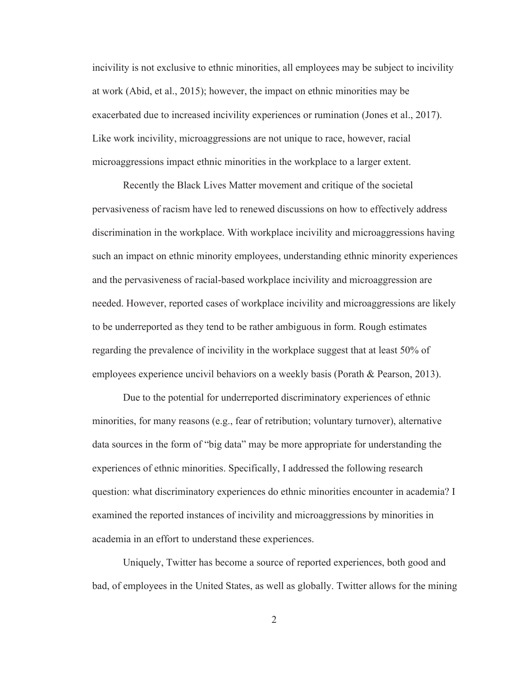incivility is not exclusive to ethnic minorities, all employees may be subject to incivility at work (Abid, et al., 2015); however, the impact on ethnic minorities may be exacerbated due to increased incivility experiences or rumination (Jones et al., 2017). Like work incivility, microaggressions are not unique to race, however, racial microaggressions impact ethnic minorities in the workplace to a larger extent.

Recently the Black Lives Matter movement and critique of the societal pervasiveness of racism have led to renewed discussions on how to effectively address discrimination in the workplace. With workplace incivility and microaggressions having such an impact on ethnic minority employees, understanding ethnic minority experiences and the pervasiveness of racial-based workplace incivility and microaggression are needed. However, reported cases of workplace incivility and microaggressions are likely to be underreported as they tend to be rather ambiguous in form. Rough estimates regarding the prevalence of incivility in the workplace suggest that at least 50% of employees experience uncivil behaviors on a weekly basis (Porath & Pearson, 2013).

Due to the potential for underreported discriminatory experiences of ethnic minorities, for many reasons (e.g., fear of retribution; voluntary turnover), alternative data sources in the form of "big data" may be more appropriate for understanding the experiences of ethnic minorities. Specifically, I addressed the following research question: what discriminatory experiences do ethnic minorities encounter in academia? I examined the reported instances of incivility and microaggressions by minorities in academia in an effort to understand these experiences.

Uniquely, Twitter has become a source of reported experiences, both good and bad, of employees in the United States, as well as globally. Twitter allows for the mining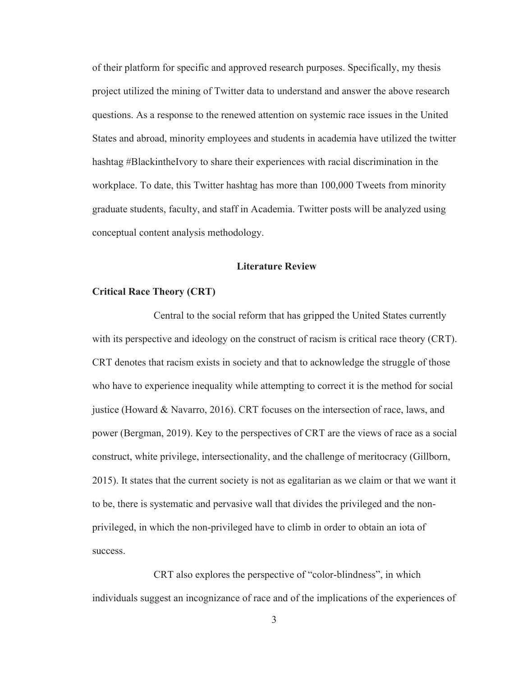of their platform for specific and approved research purposes. Specifically, my thesis project utilized the mining of Twitter data to understand and answer the above research questions. As a response to the renewed attention on systemic race issues in the United States and abroad, minority employees and students in academia have utilized the twitter hashtag #BlackintheIvory to share their experiences with racial discrimination in the workplace. To date, this Twitter hashtag has more than 100,000 Tweets from minority graduate students, faculty, and staff in Academia. Twitter posts will be analyzed using conceptual content analysis methodology.

## **Literature Review**

## **Critical Race Theory (CRT)**

 Central to the social reform that has gripped the United States currently with its perspective and ideology on the construct of racism is critical race theory (CRT). CRT denotes that racism exists in society and that to acknowledge the struggle of those who have to experience inequality while attempting to correct it is the method for social justice (Howard & Navarro, 2016). CRT focuses on the intersection of race, laws, and power (Bergman, 2019). Key to the perspectives of CRT are the views of race as a social construct, white privilege, intersectionality, and the challenge of meritocracy (Gillborn, 2015). It states that the current society is not as egalitarian as we claim or that we want it to be, there is systematic and pervasive wall that divides the privileged and the nonprivileged, in which the non-privileged have to climb in order to obtain an iota of success.

CRT also explores the perspective of "color-blindness", in which individuals suggest an incognizance of race and of the implications of the experiences of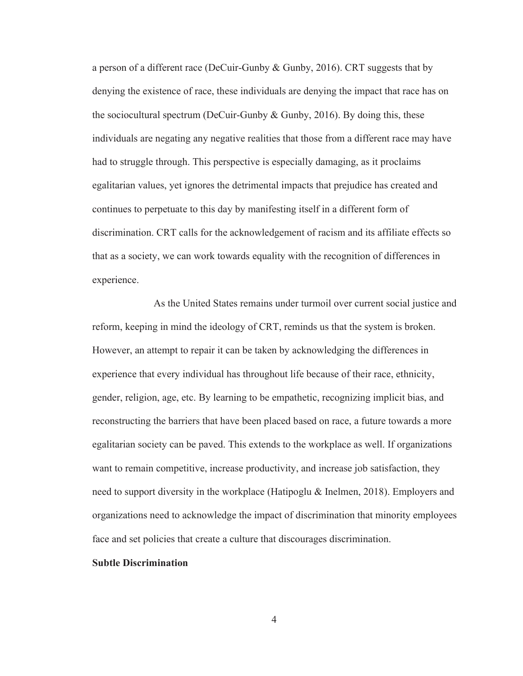a person of a different race (DeCuir-Gunby & Gunby, 2016). CRT suggests that by denying the existence of race, these individuals are denying the impact that race has on the sociocultural spectrum (DeCuir-Gunby  $\&$  Gunby, 2016). By doing this, these individuals are negating any negative realities that those from a different race may have had to struggle through. This perspective is especially damaging, as it proclaims egalitarian values, yet ignores the detrimental impacts that prejudice has created and continues to perpetuate to this day by manifesting itself in a different form of discrimination. CRT calls for the acknowledgement of racism and its affiliate effects so that as a society, we can work towards equality with the recognition of differences in experience.

 As the United States remains under turmoil over current social justice and reform, keeping in mind the ideology of CRT, reminds us that the system is broken. However, an attempt to repair it can be taken by acknowledging the differences in experience that every individual has throughout life because of their race, ethnicity, gender, religion, age, etc. By learning to be empathetic, recognizing implicit bias, and reconstructing the barriers that have been placed based on race, a future towards a more egalitarian society can be paved. This extends to the workplace as well. If organizations want to remain competitive, increase productivity, and increase job satisfaction, they need to support diversity in the workplace (Hatipoglu & Inelmen, 2018). Employers and organizations need to acknowledge the impact of discrimination that minority employees face and set policies that create a culture that discourages discrimination.

#### **Subtle Discrimination**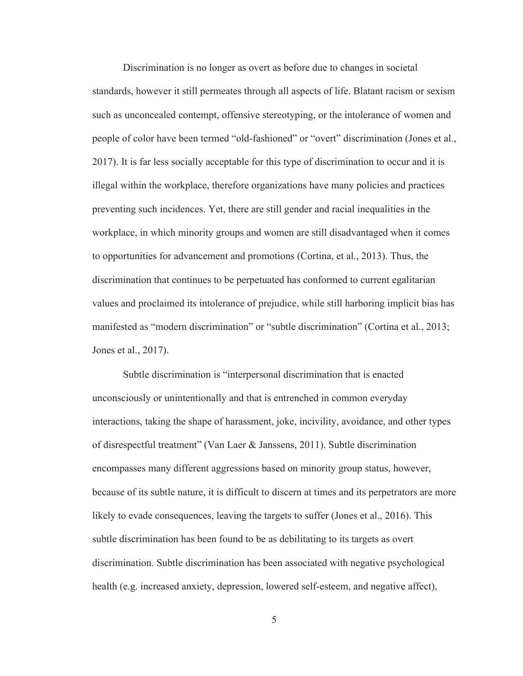Discrimination is no longer as overt as before due to changes in societal standards, however it still permeates through all aspects of life. Blatant racism or sexism such as unconcealed contempt, offensive stereotyping, or the intolerance of women and people of color have been termed "old-fashioned" or "overt" discrimination (Jones et al., 2017). It is far less socially acceptable for this type of discrimination to occur and it is illegal within the workplace, therefore organizations have many policies and practices preventing such incidences. Yet, there are still gender and racial inequalities in the workplace, in which minority groups and women are still disadvantaged when it comes to opportunities for advancement and promotions (Cortina, et al., 2013). Thus, the discrimination that continues to be perpetuated has conformed to current egalitarian values and proclaimed its intolerance of prejudice, while still harboring implicit bias has manifested as "modern discrimination" or "subtle discrimination" (Cortina et al., 2013; Jones et al., 2017).

Subtle discrimination is "interpersonal discrimination that is enacted unconsciously or unintentionally and that is entrenched in common everyday interactions, taking the shape of harassment, joke, incivility, avoidance, and other types of disrespectful treatment" (Van Laer & Janssens, 2011). Subtle discrimination encompasses many different aggressions based on minority group status, however, because of its subtle nature, it is difficult to discern at times and its perpetrators are more likely to evade consequences, leaving the targets to suffer (Jones et al., 2016). This subtle discrimination has been found to be as debilitating to its targets as overt discrimination. Subtle discrimination has been associated with negative psychological health (e.g. increased anxiety, depression, lowered self-esteem, and negative affect),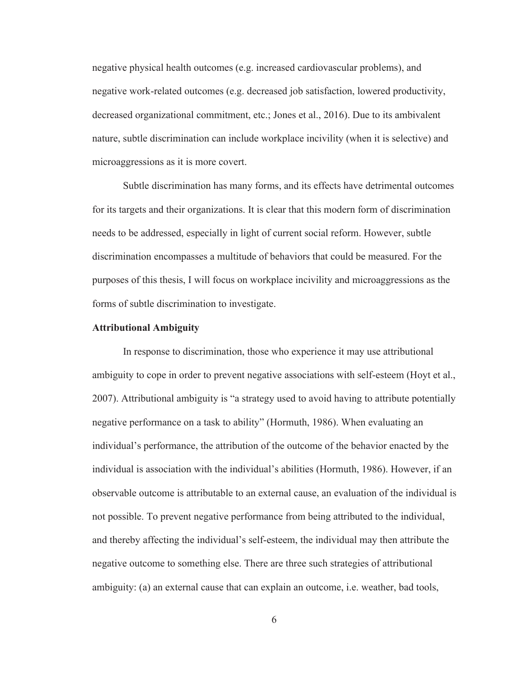negative physical health outcomes (e.g. increased cardiovascular problems), and negative work-related outcomes (e.g. decreased job satisfaction, lowered productivity, decreased organizational commitment, etc.; Jones et al., 2016). Due to its ambivalent nature, subtle discrimination can include workplace incivility (when it is selective) and microaggressions as it is more covert.

Subtle discrimination has many forms, and its effects have detrimental outcomes for its targets and their organizations. It is clear that this modern form of discrimination needs to be addressed, especially in light of current social reform. However, subtle discrimination encompasses a multitude of behaviors that could be measured. For the purposes of this thesis, I will focus on workplace incivility and microaggressions as the forms of subtle discrimination to investigate.

#### **Attributional Ambiguity**

 In response to discrimination, those who experience it may use attributional ambiguity to cope in order to prevent negative associations with self-esteem (Hoyt et al., 2007). Attributional ambiguity is "a strategy used to avoid having to attribute potentially negative performance on a task to ability" (Hormuth, 1986). When evaluating an individual's performance, the attribution of the outcome of the behavior enacted by the individual is association with the individual's abilities (Hormuth, 1986). However, if an observable outcome is attributable to an external cause, an evaluation of the individual is not possible. To prevent negative performance from being attributed to the individual, and thereby affecting the individual's self-esteem, the individual may then attribute the negative outcome to something else. There are three such strategies of attributional ambiguity: (a) an external cause that can explain an outcome, i.e. weather, bad tools,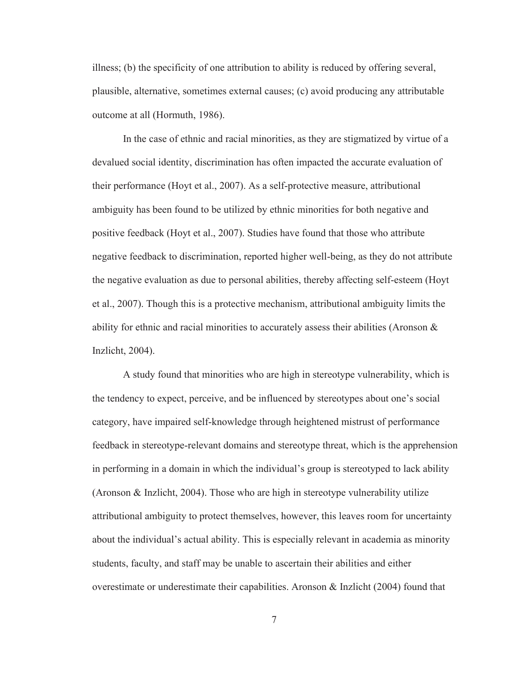illness; (b) the specificity of one attribution to ability is reduced by offering several, plausible, alternative, sometimes external causes; (c) avoid producing any attributable outcome at all (Hormuth, 1986).

 In the case of ethnic and racial minorities, as they are stigmatized by virtue of a devalued social identity, discrimination has often impacted the accurate evaluation of their performance (Hoyt et al., 2007). As a self-protective measure, attributional ambiguity has been found to be utilized by ethnic minorities for both negative and positive feedback (Hoyt et al., 2007). Studies have found that those who attribute negative feedback to discrimination, reported higher well-being, as they do not attribute the negative evaluation as due to personal abilities, thereby affecting self-esteem (Hoyt et al., 2007). Though this is a protective mechanism, attributional ambiguity limits the ability for ethnic and racial minorities to accurately assess their abilities (Aronson  $\&$ Inzlicht, 2004).

A study found that minorities who are high in stereotype vulnerability, which is the tendency to expect, perceive, and be influenced by stereotypes about one's social category, have impaired self-knowledge through heightened mistrust of performance feedback in stereotype-relevant domains and stereotype threat, which is the apprehension in performing in a domain in which the individual's group is stereotyped to lack ability (Aronson & Inzlicht, 2004). Those who are high in stereotype vulnerability utilize attributional ambiguity to protect themselves, however, this leaves room for uncertainty about the individual's actual ability. This is especially relevant in academia as minority students, faculty, and staff may be unable to ascertain their abilities and either overestimate or underestimate their capabilities. Aronson & Inzlicht (2004) found that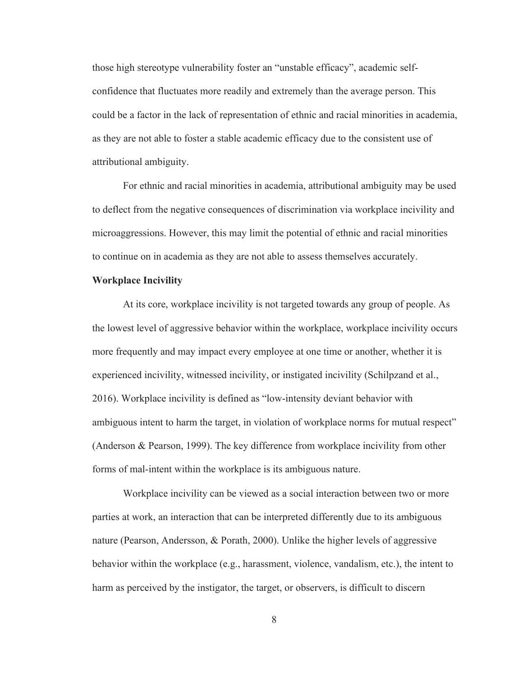those high stereotype vulnerability foster an "unstable efficacy", academic selfconfidence that fluctuates more readily and extremely than the average person. This could be a factor in the lack of representation of ethnic and racial minorities in academia, as they are not able to foster a stable academic efficacy due to the consistent use of attributional ambiguity.

 For ethnic and racial minorities in academia, attributional ambiguity may be used to deflect from the negative consequences of discrimination via workplace incivility and microaggressions. However, this may limit the potential of ethnic and racial minorities to continue on in academia as they are not able to assess themselves accurately.

### **Workplace Incivility**

At its core, workplace incivility is not targeted towards any group of people. As the lowest level of aggressive behavior within the workplace, workplace incivility occurs more frequently and may impact every employee at one time or another, whether it is experienced incivility, witnessed incivility, or instigated incivility (Schilpzand et al., 2016). Workplace incivility is defined as "low-intensity deviant behavior with ambiguous intent to harm the target, in violation of workplace norms for mutual respect" (Anderson & Pearson, 1999). The key difference from workplace incivility from other forms of mal-intent within the workplace is its ambiguous nature.

Workplace incivility can be viewed as a social interaction between two or more parties at work, an interaction that can be interpreted differently due to its ambiguous nature (Pearson, Andersson, & Porath, 2000). Unlike the higher levels of aggressive behavior within the workplace (e.g., harassment, violence, vandalism, etc.), the intent to harm as perceived by the instigator, the target, or observers, is difficult to discern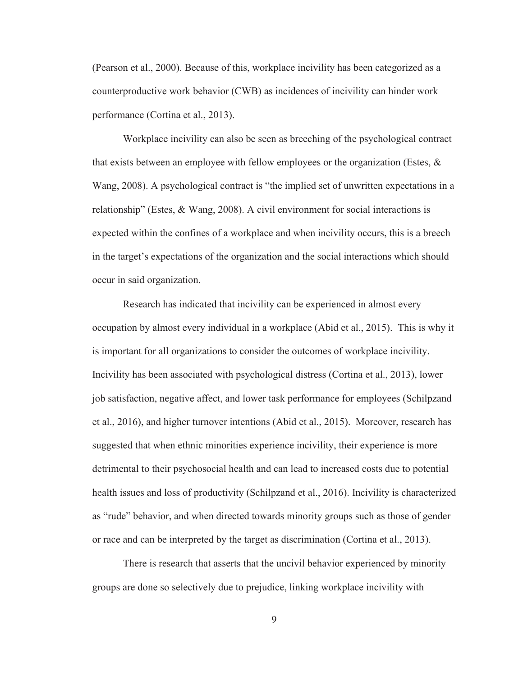(Pearson et al., 2000). Because of this, workplace incivility has been categorized as a counterproductive work behavior (CWB) as incidences of incivility can hinder work performance (Cortina et al., 2013).

Workplace incivility can also be seen as breeching of the psychological contract that exists between an employee with fellow employees or the organization (Estes,  $\&$ Wang, 2008). A psychological contract is "the implied set of unwritten expectations in a relationship" (Estes, & Wang, 2008). A civil environment for social interactions is expected within the confines of a workplace and when incivility occurs, this is a breech in the target's expectations of the organization and the social interactions which should occur in said organization.

Research has indicated that incivility can be experienced in almost every occupation by almost every individual in a workplace (Abid et al., 2015). This is why it is important for all organizations to consider the outcomes of workplace incivility. Incivility has been associated with psychological distress (Cortina et al., 2013), lower job satisfaction, negative affect, and lower task performance for employees (Schilpzand et al., 2016), and higher turnover intentions (Abid et al., 2015). Moreover, research has suggested that when ethnic minorities experience incivility, their experience is more detrimental to their psychosocial health and can lead to increased costs due to potential health issues and loss of productivity (Schilpzand et al., 2016). Incivility is characterized as "rude" behavior, and when directed towards minority groups such as those of gender or race and can be interpreted by the target as discrimination (Cortina et al., 2013).

There is research that asserts that the uncivil behavior experienced by minority groups are done so selectively due to prejudice, linking workplace incivility with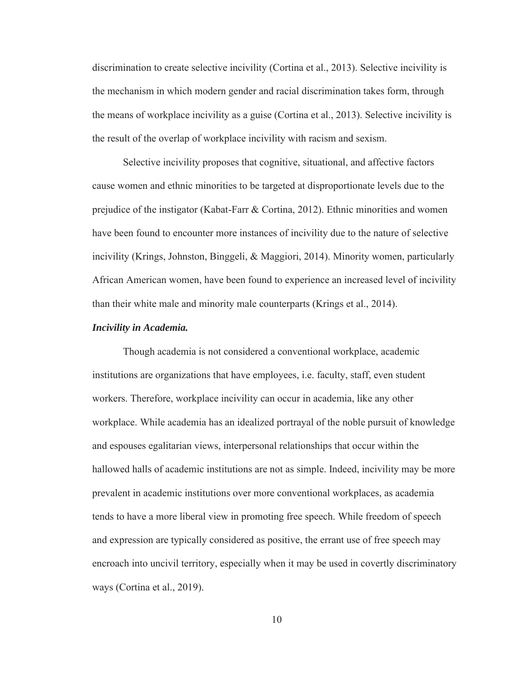discrimination to create selective incivility (Cortina et al., 2013). Selective incivility is the mechanism in which modern gender and racial discrimination takes form, through the means of workplace incivility as a guise (Cortina et al., 2013). Selective incivility is the result of the overlap of workplace incivility with racism and sexism.

Selective incivility proposes that cognitive, situational, and affective factors cause women and ethnic minorities to be targeted at disproportionate levels due to the prejudice of the instigator (Kabat-Farr & Cortina, 2012). Ethnic minorities and women have been found to encounter more instances of incivility due to the nature of selective incivility (Krings, Johnston, Binggeli, & Maggiori, 2014). Minority women, particularly African American women, have been found to experience an increased level of incivility than their white male and minority male counterparts (Krings et al., 2014).

#### *Incivility in Academia.*

Though academia is not considered a conventional workplace, academic institutions are organizations that have employees, i.e. faculty, staff, even student workers. Therefore, workplace incivility can occur in academia, like any other workplace. While academia has an idealized portrayal of the noble pursuit of knowledge and espouses egalitarian views, interpersonal relationships that occur within the hallowed halls of academic institutions are not as simple. Indeed, incivility may be more prevalent in academic institutions over more conventional workplaces, as academia tends to have a more liberal view in promoting free speech. While freedom of speech and expression are typically considered as positive, the errant use of free speech may encroach into uncivil territory, especially when it may be used in covertly discriminatory ways (Cortina et al., 2019).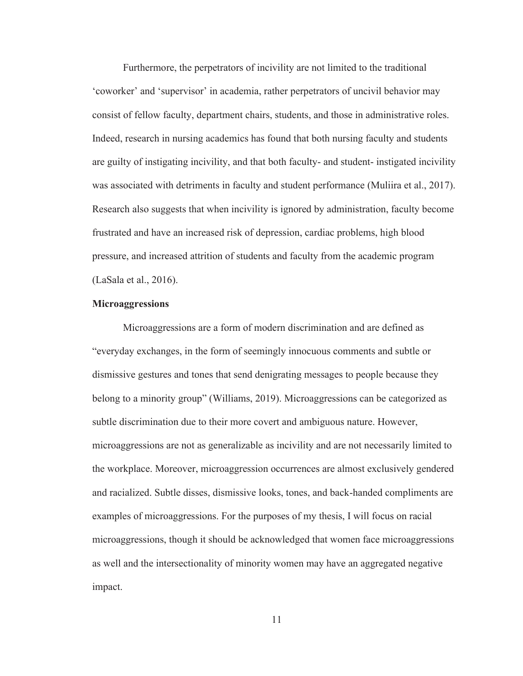Furthermore, the perpetrators of incivility are not limited to the traditional 'coworker' and 'supervisor' in academia, rather perpetrators of uncivil behavior may consist of fellow faculty, department chairs, students, and those in administrative roles. Indeed, research in nursing academics has found that both nursing faculty and students are guilty of instigating incivility, and that both faculty- and student- instigated incivility was associated with detriments in faculty and student performance (Muliira et al., 2017). Research also suggests that when incivility is ignored by administration, faculty become frustrated and have an increased risk of depression, cardiac problems, high blood pressure, and increased attrition of students and faculty from the academic program (LaSala et al., 2016).

#### **Microaggressions**

Microaggressions are a form of modern discrimination and are defined as "everyday exchanges, in the form of seemingly innocuous comments and subtle or dismissive gestures and tones that send denigrating messages to people because they belong to a minority group" (Williams, 2019). Microaggressions can be categorized as subtle discrimination due to their more covert and ambiguous nature. However, microaggressions are not as generalizable as incivility and are not necessarily limited to the workplace. Moreover, microaggression occurrences are almost exclusively gendered and racialized. Subtle disses, dismissive looks, tones, and back-handed compliments are examples of microaggressions. For the purposes of my thesis, I will focus on racial microaggressions, though it should be acknowledged that women face microaggressions as well and the intersectionality of minority women may have an aggregated negative impact.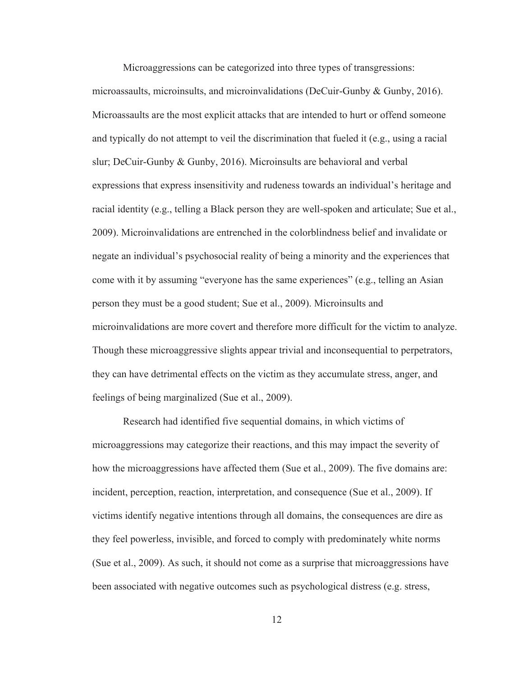Microaggressions can be categorized into three types of transgressions: microassaults, microinsults, and microinvalidations (DeCuir-Gunby & Gunby, 2016). Microassaults are the most explicit attacks that are intended to hurt or offend someone and typically do not attempt to veil the discrimination that fueled it (e.g., using a racial slur; DeCuir-Gunby & Gunby, 2016). Microinsults are behavioral and verbal expressions that express insensitivity and rudeness towards an individual's heritage and racial identity (e.g., telling a Black person they are well-spoken and articulate; Sue et al., 2009). Microinvalidations are entrenched in the colorblindness belief and invalidate or negate an individual's psychosocial reality of being a minority and the experiences that come with it by assuming "everyone has the same experiences" (e.g., telling an Asian person they must be a good student; Sue et al., 2009). Microinsults and microinvalidations are more covert and therefore more difficult for the victim to analyze. Though these microaggressive slights appear trivial and inconsequential to perpetrators, they can have detrimental effects on the victim as they accumulate stress, anger, and feelings of being marginalized (Sue et al., 2009).

 Research had identified five sequential domains, in which victims of microaggressions may categorize their reactions, and this may impact the severity of how the microaggressions have affected them (Sue et al., 2009). The five domains are: incident, perception, reaction, interpretation, and consequence (Sue et al., 2009). If victims identify negative intentions through all domains, the consequences are dire as they feel powerless, invisible, and forced to comply with predominately white norms (Sue et al., 2009). As such, it should not come as a surprise that microaggressions have been associated with negative outcomes such as psychological distress (e.g. stress,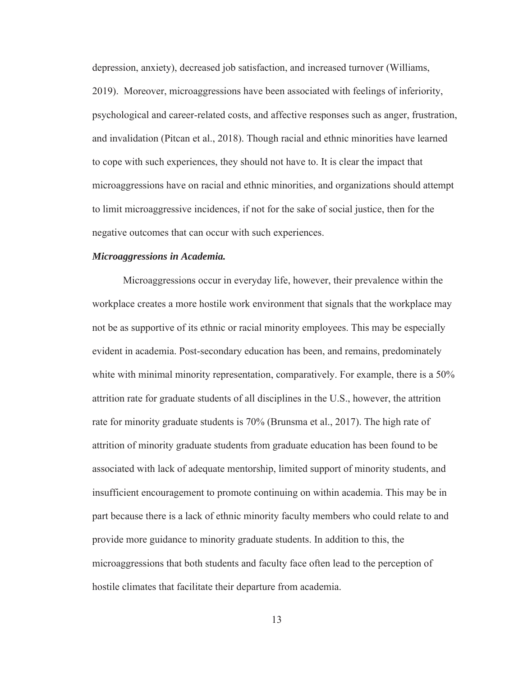depression, anxiety), decreased job satisfaction, and increased turnover (Williams, 2019). Moreover, microaggressions have been associated with feelings of inferiority, psychological and career-related costs, and affective responses such as anger, frustration, and invalidation (Pitcan et al., 2018). Though racial and ethnic minorities have learned to cope with such experiences, they should not have to. It is clear the impact that microaggressions have on racial and ethnic minorities, and organizations should attempt to limit microaggressive incidences, if not for the sake of social justice, then for the negative outcomes that can occur with such experiences.

#### *Microaggressions in Academia.*

 Microaggressions occur in everyday life, however, their prevalence within the workplace creates a more hostile work environment that signals that the workplace may not be as supportive of its ethnic or racial minority employees. This may be especially evident in academia. Post-secondary education has been, and remains, predominately white with minimal minority representation, comparatively. For example, there is a 50% attrition rate for graduate students of all disciplines in the U.S., however, the attrition rate for minority graduate students is 70% (Brunsma et al., 2017). The high rate of attrition of minority graduate students from graduate education has been found to be associated with lack of adequate mentorship, limited support of minority students, and insufficient encouragement to promote continuing on within academia. This may be in part because there is a lack of ethnic minority faculty members who could relate to and provide more guidance to minority graduate students. In addition to this, the microaggressions that both students and faculty face often lead to the perception of hostile climates that facilitate their departure from academia.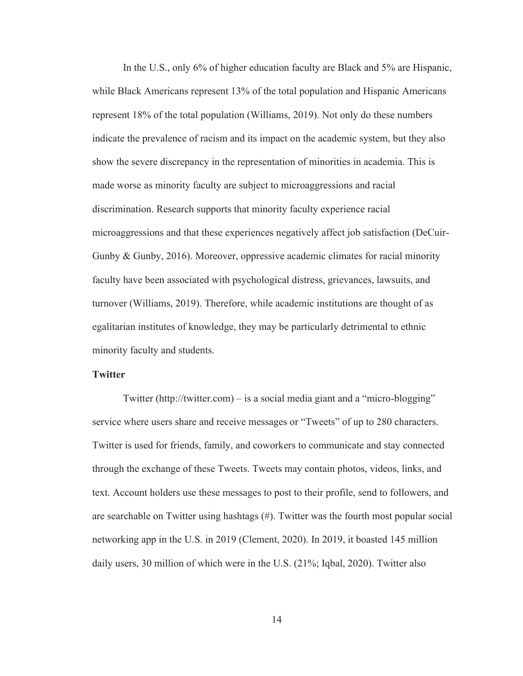In the U.S., only 6% of higher education faculty are Black and 5% are Hispanic, while Black Americans represent 13% of the total population and Hispanic Americans represent 18% of the total population (Williams, 2019). Not only do these numbers indicate the prevalence of racism and its impact on the academic system, but they also show the severe discrepancy in the representation of minorities in academia. This is made worse as minority faculty are subject to microaggressions and racial discrimination. Research supports that minority faculty experience racial microaggressions and that these experiences negatively affect job satisfaction (DeCuir-Gunby & Gunby, 2016). Moreover, oppressive academic climates for racial minority faculty have been associated with psychological distress, grievances, lawsuits, and turnover (Williams, 2019). Therefore, while academic institutions are thought of as egalitarian institutes of knowledge, they may be particularly detrimental to ethnic minority faculty and students.

#### **Twitter**

Twitter (http://twitter.com) – is a social media giant and a "micro-blogging" service where users share and receive messages or "Tweets" of up to 280 characters. Twitter is used for friends, family, and coworkers to communicate and stay connected through the exchange of these Tweets. Tweets may contain photos, videos, links, and text. Account holders use these messages to post to their profile, send to followers, and are searchable on Twitter using hashtags (#). Twitter was the fourth most popular social networking app in the U.S. in 2019 (Clement, 2020). In 2019, it boasted 145 million daily users, 30 million of which were in the U.S. (21%; Iqbal, 2020). Twitter also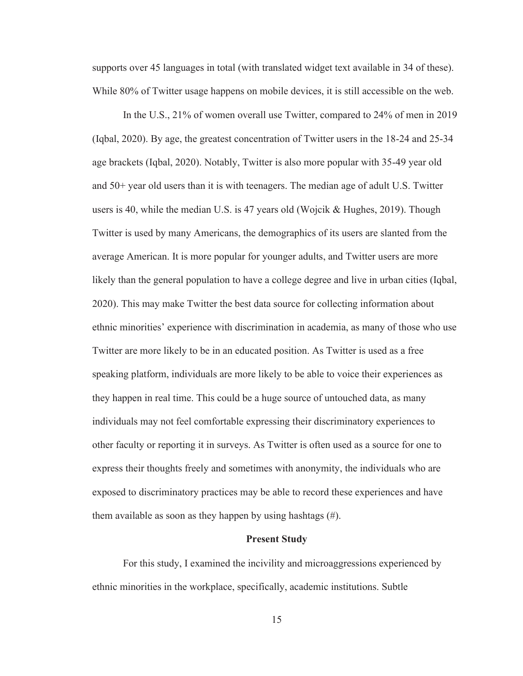supports over 45 languages in total (with translated widget text available in 34 of these). While 80% of Twitter usage happens on mobile devices, it is still accessible on the web.

In the U.S., 21% of women overall use Twitter, compared to 24% of men in 2019 (Iqbal, 2020). By age, the greatest concentration of Twitter users in the 18-24 and 25-34 age brackets (Iqbal, 2020). Notably, Twitter is also more popular with 35-49 year old and 50+ year old users than it is with teenagers. The median age of adult U.S. Twitter users is 40, while the median U.S. is 47 years old (Wojcik  $\&$  Hughes, 2019). Though Twitter is used by many Americans, the demographics of its users are slanted from the average American. It is more popular for younger adults, and Twitter users are more likely than the general population to have a college degree and live in urban cities (Iqbal, 2020). This may make Twitter the best data source for collecting information about ethnic minorities' experience with discrimination in academia, as many of those who use Twitter are more likely to be in an educated position. As Twitter is used as a free speaking platform, individuals are more likely to be able to voice their experiences as they happen in real time. This could be a huge source of untouched data, as many individuals may not feel comfortable expressing their discriminatory experiences to other faculty or reporting it in surveys. As Twitter is often used as a source for one to express their thoughts freely and sometimes with anonymity, the individuals who are exposed to discriminatory practices may be able to record these experiences and have them available as soon as they happen by using hashtags (#).

#### **Present Study**

For this study, I examined the incivility and microaggressions experienced by ethnic minorities in the workplace, specifically, academic institutions. Subtle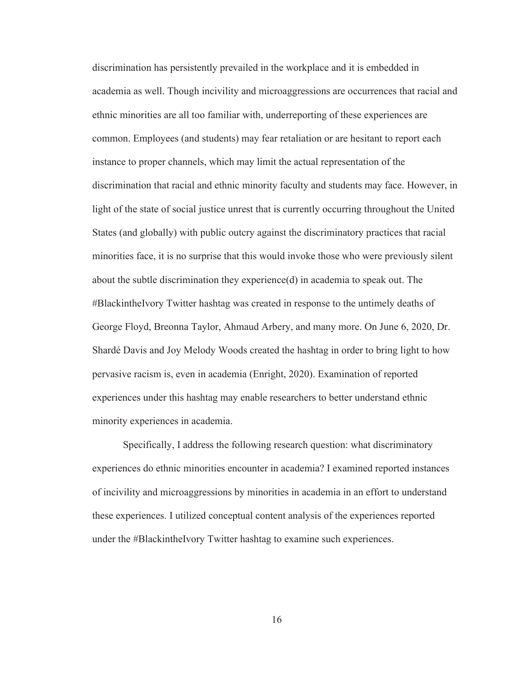discrimination has persistently prevailed in the workplace and it is embedded in academia as well. Though incivility and microaggressions are occurrences that racial and ethnic minorities are all too familiar with, underreporting of these experiences are common. Employees (and students) may fear retaliation or are hesitant to report each instance to proper channels, which may limit the actual representation of the discrimination that racial and ethnic minority faculty and students may face. However, in light of the state of social justice unrest that is currently occurring throughout the United States (and globally) with public outcry against the discriminatory practices that racial minorities face, it is no surprise that this would invoke those who were previously silent about the subtle discrimination they experience(d) in academia to speak out. The #BlackintheIvory Twitter hashtag was created in response to the untimely deaths of George Floyd, Breonna Taylor, Ahmaud Arbery, and many more. On June 6, 2020, Dr. Shardé Davis and Joy Melody Woods created the hashtag in order to bring light to how pervasive racism is, even in academia (Enright, 2020). Examination of reported experiences under this hashtag may enable researchers to better understand ethnic minority experiences in academia.

Specifically, I address the following research question: what discriminatory experiences do ethnic minorities encounter in academia? I examined reported instances of incivility and microaggressions by minorities in academia in an effort to understand these experiences. I utilized conceptual content analysis of the experiences reported under the #BlackintheIvory Twitter hashtag to examine such experiences.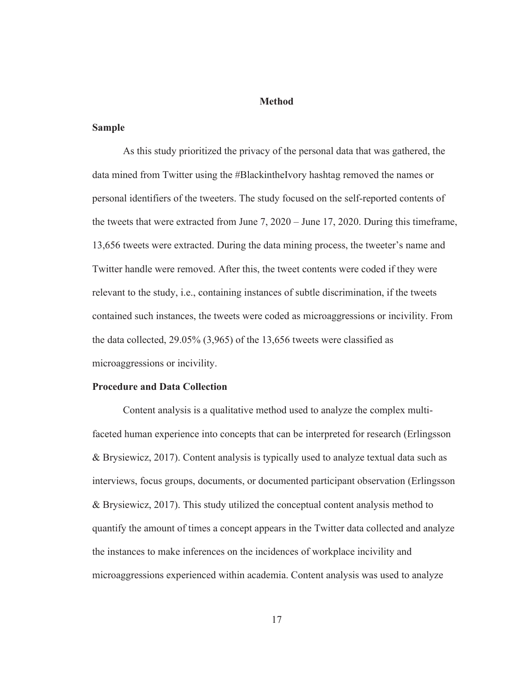#### **Method**

### **Sample**

As this study prioritized the privacy of the personal data that was gathered, the data mined from Twitter using the #BlackintheIvory hashtag removed the names or personal identifiers of the tweeters. The study focused on the self-reported contents of the tweets that were extracted from June 7, 2020 – June 17, 2020. During this timeframe, 13,656 tweets were extracted. During the data mining process, the tweeter's name and Twitter handle were removed. After this, the tweet contents were coded if they were relevant to the study, i.e., containing instances of subtle discrimination, if the tweets contained such instances, the tweets were coded as microaggressions or incivility. From the data collected, 29.05% (3,965) of the 13,656 tweets were classified as microaggressions or incivility.

## **Procedure and Data Collection**

Content analysis is a qualitative method used to analyze the complex multifaceted human experience into concepts that can be interpreted for research (Erlingsson & Brysiewicz, 2017). Content analysis is typically used to analyze textual data such as interviews, focus groups, documents, or documented participant observation (Erlingsson & Brysiewicz, 2017). This study utilized the conceptual content analysis method to quantify the amount of times a concept appears in the Twitter data collected and analyze the instances to make inferences on the incidences of workplace incivility and microaggressions experienced within academia. Content analysis was used to analyze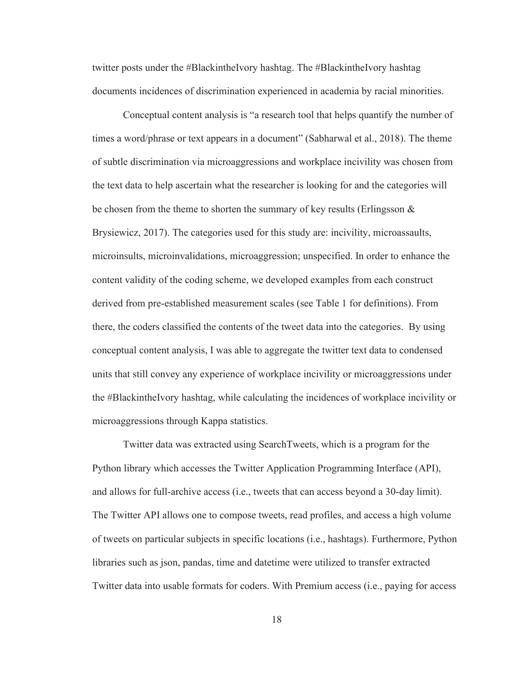twitter posts under the #BlackintheIvory hashtag. The #BlackintheIvory hashtag documents incidences of discrimination experienced in academia by racial minorities.

Conceptual content analysis is "a research tool that helps quantify the number of times a word/phrase or text appears in a document" (Sabharwal et al., 2018). The theme of subtle discrimination via microaggressions and workplace incivility was chosen from the text data to help ascertain what the researcher is looking for and the categories will be chosen from the theme to shorten the summary of key results (Erlingsson  $\&$ Brysiewicz, 2017). The categories used for this study are: incivility, microassaults, microinsults, microinvalidations, microaggression; unspecified. In order to enhance the content validity of the coding scheme, we developed examples from each construct derived from pre-established measurement scales (see Table 1 for definitions). From there, the coders classified the contents of the tweet data into the categories. By using conceptual content analysis, I was able to aggregate the twitter text data to condensed units that still convey any experience of workplace incivility or microaggressions under the #BlackintheIvory hashtag, while calculating the incidences of workplace incivility or microaggressions through Kappa statistics.

Twitter data was extracted using SearchTweets, which is a program for the Python library which accesses the Twitter Application Programming Interface (API), and allows for full-archive access (i.e., tweets that can access beyond a 30-day limit). The Twitter API allows one to compose tweets, read profiles, and access a high volume of tweets on particular subjects in specific locations (i.e., hashtags). Furthermore, Python libraries such as json, pandas, time and datetime were utilized to transfer extracted Twitter data into usable formats for coders. With Premium access (i.e., paying for access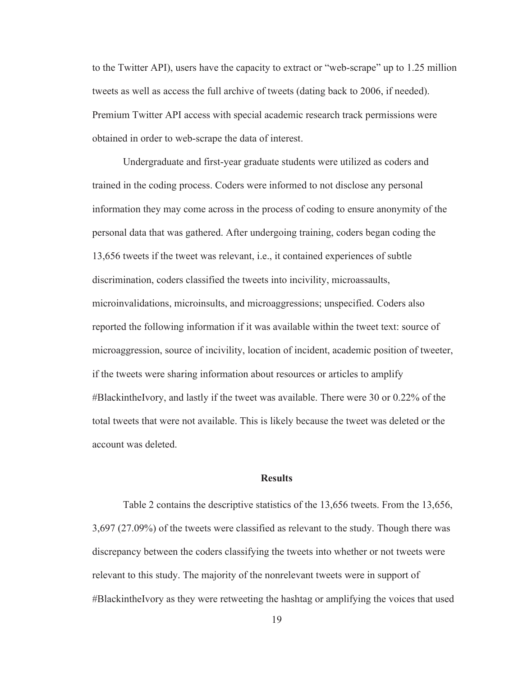to the Twitter API), users have the capacity to extract or "web-scrape" up to 1.25 million tweets as well as access the full archive of tweets (dating back to 2006, if needed). Premium Twitter API access with special academic research track permissions were obtained in order to web-scrape the data of interest.

 Undergraduate and first-year graduate students were utilized as coders and trained in the coding process. Coders were informed to not disclose any personal information they may come across in the process of coding to ensure anonymity of the personal data that was gathered. After undergoing training, coders began coding the 13,656 tweets if the tweet was relevant, i.e., it contained experiences of subtle discrimination, coders classified the tweets into incivility, microassaults, microinvalidations, microinsults, and microaggressions; unspecified. Coders also reported the following information if it was available within the tweet text: source of microaggression, source of incivility, location of incident, academic position of tweeter, if the tweets were sharing information about resources or articles to amplify #BlackintheIvory, and lastly if the tweet was available. There were 30 or 0.22% of the total tweets that were not available. This is likely because the tweet was deleted or the account was deleted.

#### **Results**

Table 2 contains the descriptive statistics of the 13,656 tweets. From the 13,656, 3,697 (27.09%) of the tweets were classified as relevant to the study. Though there was discrepancy between the coders classifying the tweets into whether or not tweets were relevant to this study. The majority of the nonrelevant tweets were in support of #BlackintheIvory as they were retweeting the hashtag or amplifying the voices that used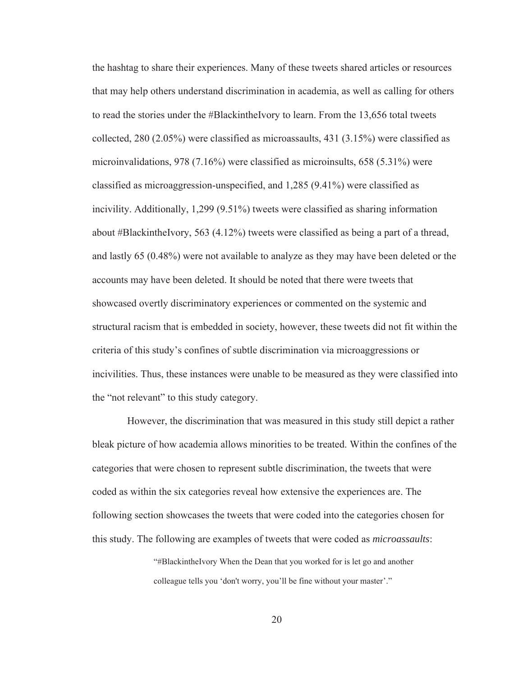the hashtag to share their experiences. Many of these tweets shared articles or resources that may help others understand discrimination in academia, as well as calling for others to read the stories under the #BlackintheIvory to learn. From the 13,656 total tweets collected, 280 (2.05%) were classified as microassaults, 431 (3.15%) were classified as microinvalidations, 978 (7.16%) were classified as microinsults, 658 (5.31%) were classified as microaggression-unspecified, and 1,285 (9.41%) were classified as incivility. Additionally, 1,299 (9.51%) tweets were classified as sharing information about #BlackintheIvory, 563 (4.12%) tweets were classified as being a part of a thread, and lastly 65 (0.48%) were not available to analyze as they may have been deleted or the accounts may have been deleted. It should be noted that there were tweets that showcased overtly discriminatory experiences or commented on the systemic and structural racism that is embedded in society, however, these tweets did not fit within the criteria of this study's confines of subtle discrimination via microaggressions or incivilities. Thus, these instances were unable to be measured as they were classified into the "not relevant" to this study category.

However, the discrimination that was measured in this study still depict a rather bleak picture of how academia allows minorities to be treated. Within the confines of the categories that were chosen to represent subtle discrimination, the tweets that were coded as within the six categories reveal how extensive the experiences are. The following section showcases the tweets that were coded into the categories chosen for this study. The following are examples of tweets that were coded as *microassaults*:

> "#BlackintheIvory When the Dean that you worked for is let go and another colleague tells you 'don't worry, you'll be fine without your master'."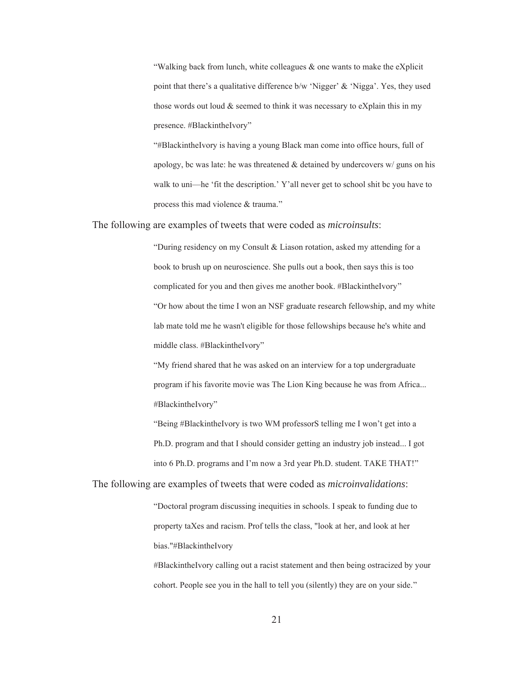"Walking back from lunch, white colleagues  $\&$  one wants to make the eXplicit point that there's a qualitative difference b/w 'Nigger' & 'Nigga'. Yes, they used those words out loud & seemed to think it was necessary to eXplain this in my presence. #BlackintheIvory"

"#BlackintheIvory is having a young Black man come into office hours, full of apology, bc was late: he was threatened  $&$  detained by undercovers  $w/$  guns on his walk to uni—he 'fit the description.' Y'all never get to school shit bc you have to process this mad violence & trauma."

The following are examples of tweets that were coded as *microinsults*:

"During residency on my Consult & Liason rotation, asked my attending for a book to brush up on neuroscience. She pulls out a book, then says this is too complicated for you and then gives me another book. #BlackintheIvory" "Or how about the time I won an NSF graduate research fellowship, and my white lab mate told me he wasn't eligible for those fellowships because he's white and middle class. #BlackintheIvory"

"My friend shared that he was asked on an interview for a top undergraduate program if his favorite movie was The Lion King because he was from Africa... #BlackintheIvory"

"Being #BlackintheIvory is two WM professorS telling me I won't get into a Ph.D. program and that I should consider getting an industry job instead... I got into 6 Ph.D. programs and I'm now a 3rd year Ph.D. student. TAKE THAT!"

The following are examples of tweets that were coded as *microinvalidations*:

"Doctoral program discussing inequities in schools. I speak to funding due to property taXes and racism. Prof tells the class, "look at her, and look at her bias."#BlackintheIvory

#BlackintheIvory calling out a racist statement and then being ostracized by your cohort. People see you in the hall to tell you (silently) they are on your side."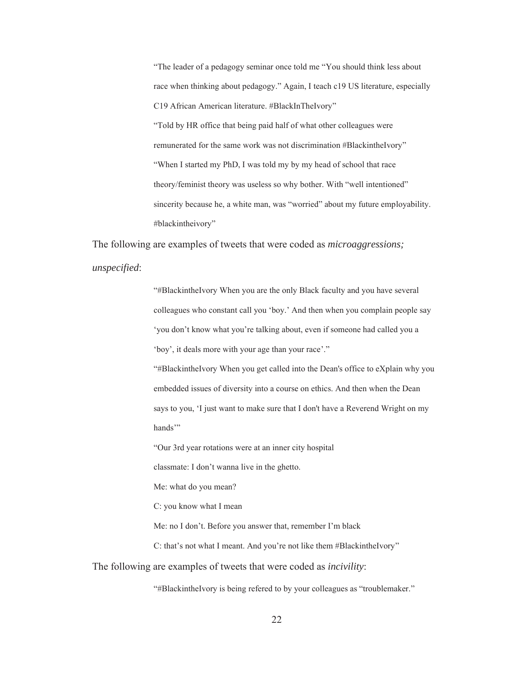"The leader of a pedagogy seminar once told me "You should think less about race when thinking about pedagogy." Again, I teach c19 US literature, especially C19 African American literature. #BlackInTheIvory" "Told by HR office that being paid half of what other colleagues were remunerated for the same work was not discrimination #BlackintheIvory" "When I started my PhD, I was told my by my head of school that race theory/feminist theory was useless so why bother. With "well intentioned" sincerity because he, a white man, was "worried" about my future employability. #blackintheivory"

The following are examples of tweets that were coded as *microaggressions;* 

*unspecified*:

"#BlackintheIvory When you are the only Black faculty and you have several colleagues who constant call you 'boy.' And then when you complain people say 'you don't know what you're talking about, even if someone had called you a 'boy', it deals more with your age than your race'." "#BlackintheIvory When you get called into the Dean's office to eXplain why you embedded issues of diversity into a course on ethics. And then when the Dean

says to you, 'I just want to make sure that I don't have a Reverend Wright on my hands"

"Our 3rd year rotations were at an inner city hospital

classmate: I don't wanna live in the ghetto.

Me: what do you mean?

C: you know what I mean

Me: no I don't. Before you answer that, remember I'm black

C: that's not what I meant. And you're not like them #BlackintheIvory"

The following are examples of tweets that were coded as *incivility*:

"#BlackintheIvory is being refered to by your colleagues as "troublemaker."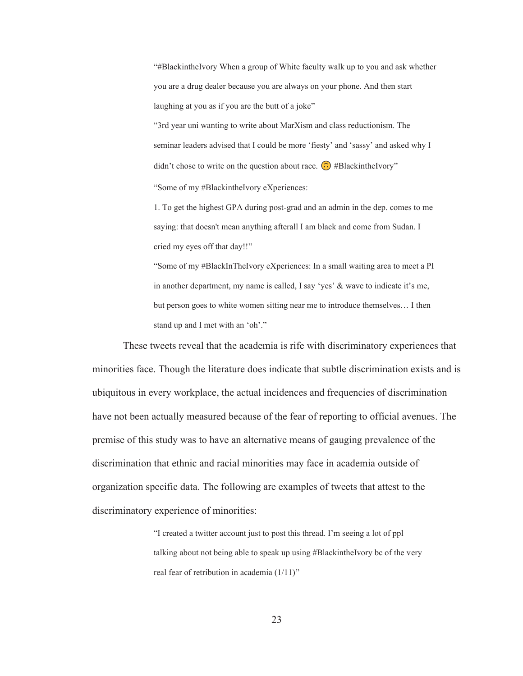"#BlackintheIvory When a group of White faculty walk up to you and ask whether you are a drug dealer because you are always on your phone. And then start laughing at you as if you are the butt of a joke"

"3rd year uni wanting to write about MarXism and class reductionism. The seminar leaders advised that I could be more 'fiesty' and 'sassy' and asked why I didn't chose to write on the question about race.  $\odot$  #BlackintheIvory" "Some of my #BlackintheIvory eXperiences:

1. To get the highest GPA during post-grad and an admin in the dep. comes to me saying: that doesn't mean anything afterall I am black and come from Sudan. I cried my eyes off that day!!"

"Some of my #BlackInTheIvory eXperiences: In a small waiting area to meet a PI in another department, my name is called, I say 'yes' & wave to indicate it's me, but person goes to white women sitting near me to introduce themselves… I then stand up and I met with an 'oh'."

These tweets reveal that the academia is rife with discriminatory experiences that minorities face. Though the literature does indicate that subtle discrimination exists and is ubiquitous in every workplace, the actual incidences and frequencies of discrimination have not been actually measured because of the fear of reporting to official avenues. The premise of this study was to have an alternative means of gauging prevalence of the discrimination that ethnic and racial minorities may face in academia outside of organization specific data. The following are examples of tweets that attest to the discriminatory experience of minorities:

> "I created a twitter account just to post this thread. I'm seeing a lot of ppl talking about not being able to speak up using #BlackintheIvory bc of the very real fear of retribution in academia (1/11)"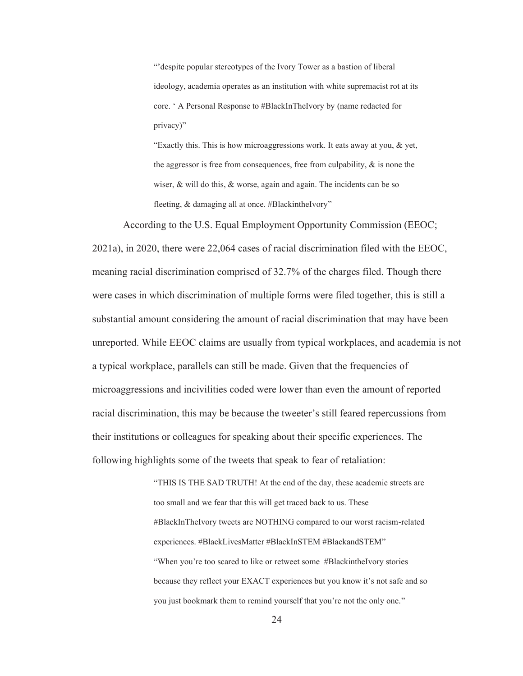"'despite popular stereotypes of the Ivory Tower as a bastion of liberal ideology, academia operates as an institution with white supremacist rot at its core. ' A Personal Response to #BlackInTheIvory by (name redacted for privacy)"

"Exactly this. This is how microaggressions work. It eats away at you, & yet, the aggressor is free from consequences, free from culpability,  $\&$  is none the wiser, & will do this, & worse, again and again. The incidents can be so fleeting, & damaging all at once. #BlackintheIvory"

According to the U.S. Equal Employment Opportunity Commission (EEOC; 2021a), in 2020, there were 22,064 cases of racial discrimination filed with the EEOC, meaning racial discrimination comprised of 32.7% of the charges filed. Though there were cases in which discrimination of multiple forms were filed together, this is still a substantial amount considering the amount of racial discrimination that may have been unreported. While EEOC claims are usually from typical workplaces, and academia is not a typical workplace, parallels can still be made. Given that the frequencies of microaggressions and incivilities coded were lower than even the amount of reported racial discrimination, this may be because the tweeter's still feared repercussions from their institutions or colleagues for speaking about their specific experiences. The following highlights some of the tweets that speak to fear of retaliation:

> "THIS IS THE SAD TRUTH! At the end of the day, these academic streets are too small and we fear that this will get traced back to us. These #BlackInTheIvory tweets are NOTHING compared to our worst racism-related experiences. #BlackLivesMatter #BlackInSTEM #BlackandSTEM" "When you're too scared to like or retweet some #BlackintheIvory stories because they reflect your EXACT experiences but you know it's not safe and so you just bookmark them to remind yourself that you're not the only one."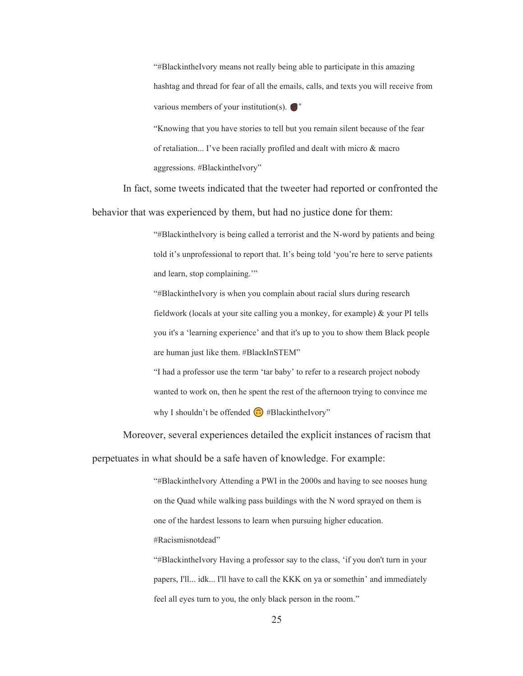"#BlackintheIvory means not really being able to participate in this amazing hashtag and thread for fear of all the emails, calls, and texts you will receive from various members of your institution(s).  $\bigcirc$ "

"Knowing that you have stories to tell but you remain silent because of the fear of retaliation... I've been racially profiled and dealt with micro & macro aggressions. #BlackintheIvory"

In fact, some tweets indicated that the tweeter had reported or confronted the behavior that was experienced by them, but had no justice done for them:

> "#BlackintheIvory is being called a terrorist and the N-word by patients and being told it's unprofessional to report that. It's being told 'you're here to serve patients and learn, stop complaining.'"

"#BlackintheIvory is when you complain about racial slurs during research fieldwork (locals at your site calling you a monkey, for example) & your PI tells you it's a 'learning experience' and that it's up to you to show them Black people are human just like them. #BlackInSTEM"

"I had a professor use the term 'tar baby' to refer to a research project nobody wanted to work on, then he spent the rest of the afternoon trying to convince me why I shouldn't be offended  $\odot$  #BlackintheIvory"

Moreover, several experiences detailed the explicit instances of racism that perpetuates in what should be a safe haven of knowledge. For example:

> "#BlackintheIvory Attending a PWI in the 2000s and having to see nooses hung on the Quad while walking pass buildings with the N word sprayed on them is one of the hardest lessons to learn when pursuing higher education. #Racismisnotdead"

> "#BlackintheIvory Having a professor say to the class, 'if you don't turn in your papers, I'll... idk... I'll have to call the KKK on ya or somethin' and immediately feel all eyes turn to you, the only black person in the room."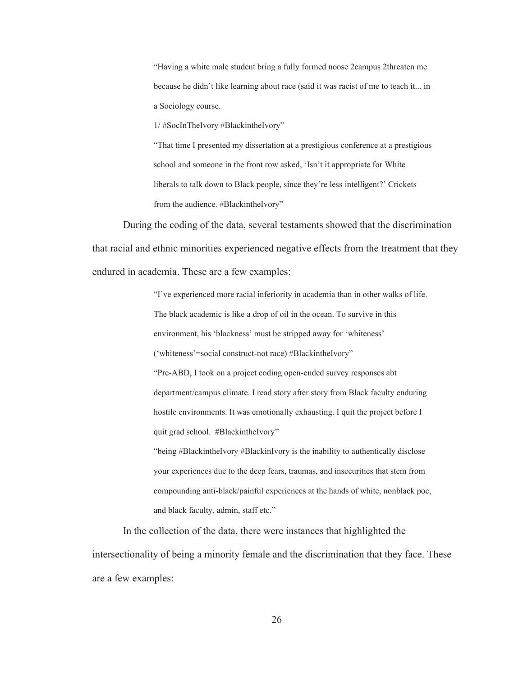"Having a white male student bring a fully formed noose 2campus 2threaten me because he didn't like learning about race (said it was racist of me to teach it... in a Sociology course.

1/ #SocInTheIvory #BlackintheIvory"

"That time I presented my dissertation at a prestigious conference at a prestigious school and someone in the front row asked, 'Isn't it appropriate for White liberals to talk down to Black people, since they're less intelligent?' Crickets from the audience. #BlackintheIvory"

During the coding of the data, several testaments showed that the discrimination that racial and ethnic minorities experienced negative effects from the treatment that they endured in academia. These are a few examples:

> "I've experienced more racial inferiority in academia than in other walks of life. The black academic is like a drop of oil in the ocean. To survive in this environment, his 'blackness' must be stripped away for 'whiteness' ('whiteness'=social construct-not race) #BlackintheIvory" "Pre-ABD, I took on a project coding open-ended survey responses abt department/campus climate. I read story after story from Black faculty enduring hostile environments. It was emotionally exhausting. I quit the project before I quit grad school. #BlackintheIvory"

> "being #BlackintheIvory #BlackinIvory is the inability to authentically disclose your experiences due to the deep fears, traumas, and insecurities that stem from compounding anti-black/painful experiences at the hands of white, nonblack poc, and black faculty, admin, staff etc."

In the collection of the data, there were instances that highlighted the intersectionality of being a minority female and the discrimination that they face. These are a few examples: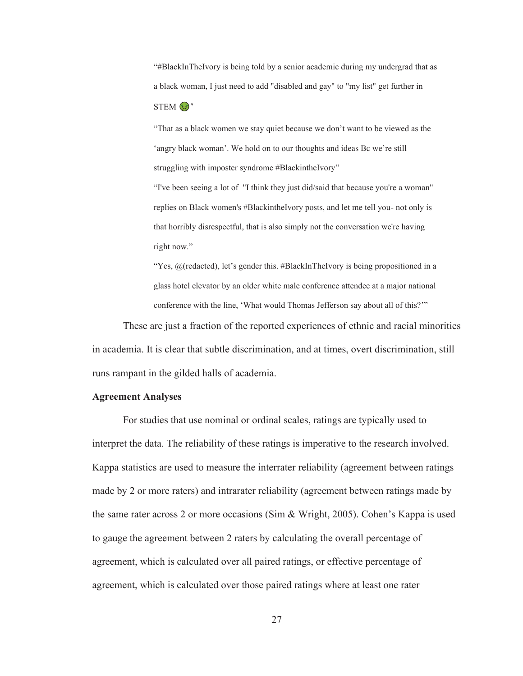"#BlackInTheIvory is being told by a senior academic during my undergrad that as a black woman, I just need to add "disabled and gay" to "my list" get further in

 $STEM$  $\mathbb{Q}$ "

"That as a black women we stay quiet because we don't want to be viewed as the 'angry black woman'. We hold on to our thoughts and ideas Bc we're still struggling with imposter syndrome #BlackintheIvory"

"I've been seeing a lot of "I think they just did/said that because you're a woman" replies on Black women's #BlackintheIvory posts, and let me tell you- not only is that horribly disrespectful, that is also simply not the conversation we're having right now."

"Yes,  $\omega$  (redacted), let's gender this. #BlackInTheIvory is being propositioned in a glass hotel elevator by an older white male conference attendee at a major national conference with the line, 'What would Thomas Jefferson say about all of this?'"

These are just a fraction of the reported experiences of ethnic and racial minorities in academia. It is clear that subtle discrimination, and at times, overt discrimination, still runs rampant in the gilded halls of academia.

#### **Agreement Analyses**

For studies that use nominal or ordinal scales, ratings are typically used to interpret the data. The reliability of these ratings is imperative to the research involved. Kappa statistics are used to measure the interrater reliability (agreement between ratings made by 2 or more raters) and intrarater reliability (agreement between ratings made by the same rater across 2 or more occasions (Sim & Wright, 2005). Cohen's Kappa is used to gauge the agreement between 2 raters by calculating the overall percentage of agreement, which is calculated over all paired ratings, or effective percentage of agreement, which is calculated over those paired ratings where at least one rater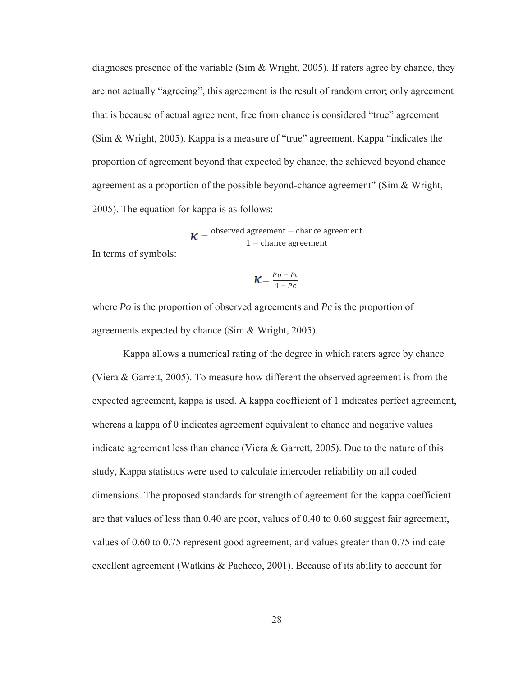diagnoses presence of the variable (Sim & Wright, 2005). If raters agree by chance, they are not actually "agreeing", this agreement is the result of random error; only agreement that is because of actual agreement, free from chance is considered "true" agreement (Sim & Wright, 2005). Kappa is a measure of "true" agreement. Kappa "indicates the proportion of agreement beyond that expected by chance, the achieved beyond chance agreement as a proportion of the possible beyond-chance agreement" (Sim & Wright, 2005). The equation for kappa is as follows:

 $=\frac{\text{observed agreement} - \text{chance agreement}}{1 - \text{chance agreement}}$ 

In terms of symbols:

$$
K = \frac{P_o - P_c}{1 - P_c}
$$

where *Po* is the proportion of observed agreements and *Pc* is the proportion of agreements expected by chance (Sim & Wright, 2005).

Kappa allows a numerical rating of the degree in which raters agree by chance (Viera & Garrett, 2005). To measure how different the observed agreement is from the expected agreement, kappa is used. A kappa coefficient of 1 indicates perfect agreement, whereas a kappa of 0 indicates agreement equivalent to chance and negative values indicate agreement less than chance (Viera & Garrett, 2005). Due to the nature of this study, Kappa statistics were used to calculate intercoder reliability on all coded dimensions. The proposed standards for strength of agreement for the kappa coefficient are that values of less than 0.40 are poor, values of 0.40 to 0.60 suggest fair agreement, values of 0.60 to 0.75 represent good agreement, and values greater than 0.75 indicate excellent agreement (Watkins & Pacheco, 2001). Because of its ability to account for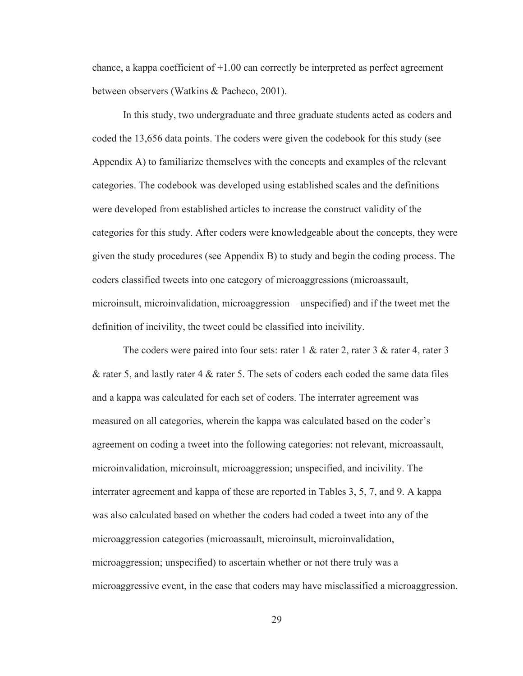chance, a kappa coefficient of +1*.*00 can correctly be interpreted as perfect agreement between observers (Watkins & Pacheco, 2001).

In this study, two undergraduate and three graduate students acted as coders and coded the 13,656 data points. The coders were given the codebook for this study (see Appendix A) to familiarize themselves with the concepts and examples of the relevant categories. The codebook was developed using established scales and the definitions were developed from established articles to increase the construct validity of the categories for this study. After coders were knowledgeable about the concepts, they were given the study procedures (see Appendix B) to study and begin the coding process. The coders classified tweets into one category of microaggressions (microassault, microinsult, microinvalidation, microaggression – unspecified) and if the tweet met the definition of incivility, the tweet could be classified into incivility.

The coders were paired into four sets: rater 1 & rater 2, rater 3 & rater 4, rater 3 & rater 5, and lastly rater 4 & rater 5. The sets of coders each coded the same data files and a kappa was calculated for each set of coders. The interrater agreement was measured on all categories, wherein the kappa was calculated based on the coder's agreement on coding a tweet into the following categories: not relevant, microassault, microinvalidation, microinsult, microaggression; unspecified, and incivility. The interrater agreement and kappa of these are reported in Tables 3, 5, 7, and 9. A kappa was also calculated based on whether the coders had coded a tweet into any of the microaggression categories (microassault, microinsult, microinvalidation, microaggression; unspecified) to ascertain whether or not there truly was a microaggressive event, in the case that coders may have misclassified a microaggression.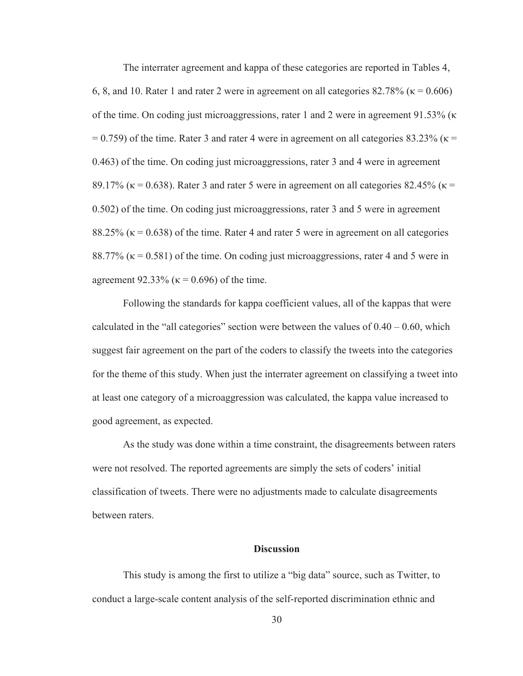The interrater agreement and kappa of these categories are reported in Tables 4, 6, 8, and 10. Rater 1 and rater 2 were in agreement on all categories  $82.78\%$  ( $\kappa = 0.606$ ) of the time. On coding just microaggressions, rater 1 and 2 were in agreement 91.53% ( $\kappa$  $= 0.759$ ) of the time. Rater 3 and rater 4 were in agreement on all categories 83.23% ( $\kappa =$ 0.463) of the time. On coding just microaggressions, rater 3 and 4 were in agreement 89.17% ( $\kappa$  = 0.638). Rater 3 and rater 5 were in agreement on all categories 82.45% ( $\kappa$  = 0.502) of the time. On coding just microaggressions, rater 3 and 5 were in agreement 88.25% ( $\kappa$  = 0.638) of the time. Rater 4 and rater 5 were in agreement on all categories 88.77% ( $\kappa$  = 0.581) of the time. On coding just microaggressions, rater 4 and 5 were in agreement 92.33% ( $\kappa$  = 0.696) of the time.

Following the standards for kappa coefficient values, all of the kappas that were calculated in the "all categories" section were between the values of  $0.40 - 0.60$ , which suggest fair agreement on the part of the coders to classify the tweets into the categories for the theme of this study. When just the interrater agreement on classifying a tweet into at least one category of a microaggression was calculated, the kappa value increased to good agreement, as expected.

As the study was done within a time constraint, the disagreements between raters were not resolved. The reported agreements are simply the sets of coders' initial classification of tweets. There were no adjustments made to calculate disagreements between raters.

## **Discussion**

This study is among the first to utilize a "big data" source, such as Twitter, to conduct a large-scale content analysis of the self-reported discrimination ethnic and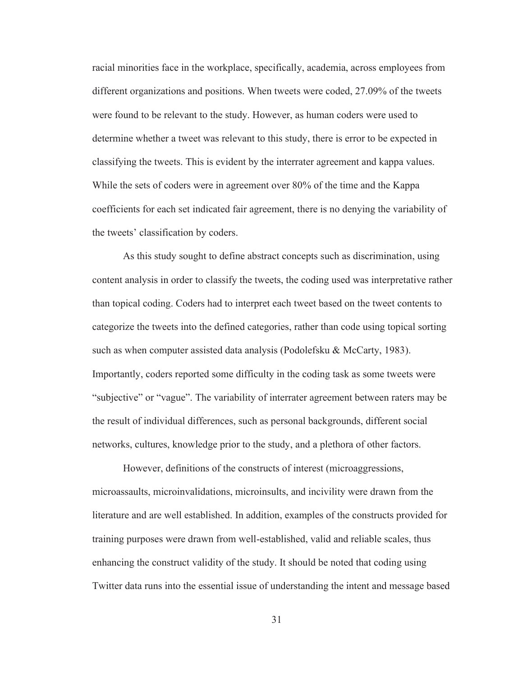racial minorities face in the workplace, specifically, academia, across employees from different organizations and positions. When tweets were coded, 27.09% of the tweets were found to be relevant to the study. However, as human coders were used to determine whether a tweet was relevant to this study, there is error to be expected in classifying the tweets. This is evident by the interrater agreement and kappa values. While the sets of coders were in agreement over 80% of the time and the Kappa coefficients for each set indicated fair agreement, there is no denying the variability of the tweets' classification by coders.

As this study sought to define abstract concepts such as discrimination, using content analysis in order to classify the tweets, the coding used was interpretative rather than topical coding. Coders had to interpret each tweet based on the tweet contents to categorize the tweets into the defined categories, rather than code using topical sorting such as when computer assisted data analysis (Podolefsku & McCarty, 1983). Importantly, coders reported some difficulty in the coding task as some tweets were "subjective" or "vague". The variability of interrater agreement between raters may be the result of individual differences, such as personal backgrounds, different social networks, cultures, knowledge prior to the study, and a plethora of other factors.

However, definitions of the constructs of interest (microaggressions, microassaults, microinvalidations, microinsults, and incivility were drawn from the literature and are well established. In addition, examples of the constructs provided for training purposes were drawn from well-established, valid and reliable scales, thus enhancing the construct validity of the study. It should be noted that coding using Twitter data runs into the essential issue of understanding the intent and message based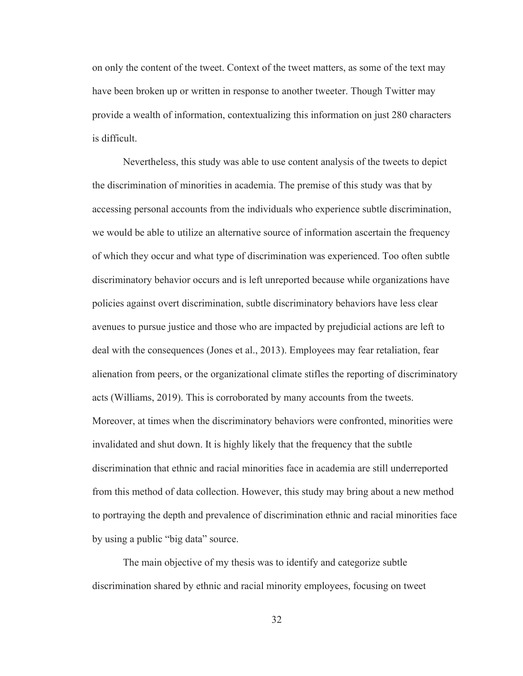on only the content of the tweet. Context of the tweet matters, as some of the text may have been broken up or written in response to another tweeter. Though Twitter may provide a wealth of information, contextualizing this information on just 280 characters is difficult.

Nevertheless, this study was able to use content analysis of the tweets to depict the discrimination of minorities in academia. The premise of this study was that by accessing personal accounts from the individuals who experience subtle discrimination, we would be able to utilize an alternative source of information ascertain the frequency of which they occur and what type of discrimination was experienced. Too often subtle discriminatory behavior occurs and is left unreported because while organizations have policies against overt discrimination, subtle discriminatory behaviors have less clear avenues to pursue justice and those who are impacted by prejudicial actions are left to deal with the consequences (Jones et al., 2013). Employees may fear retaliation, fear alienation from peers, or the organizational climate stifles the reporting of discriminatory acts (Williams, 2019). This is corroborated by many accounts from the tweets. Moreover, at times when the discriminatory behaviors were confronted, minorities were invalidated and shut down. It is highly likely that the frequency that the subtle discrimination that ethnic and racial minorities face in academia are still underreported from this method of data collection. However, this study may bring about a new method to portraying the depth and prevalence of discrimination ethnic and racial minorities face by using a public "big data" source.

The main objective of my thesis was to identify and categorize subtle discrimination shared by ethnic and racial minority employees, focusing on tweet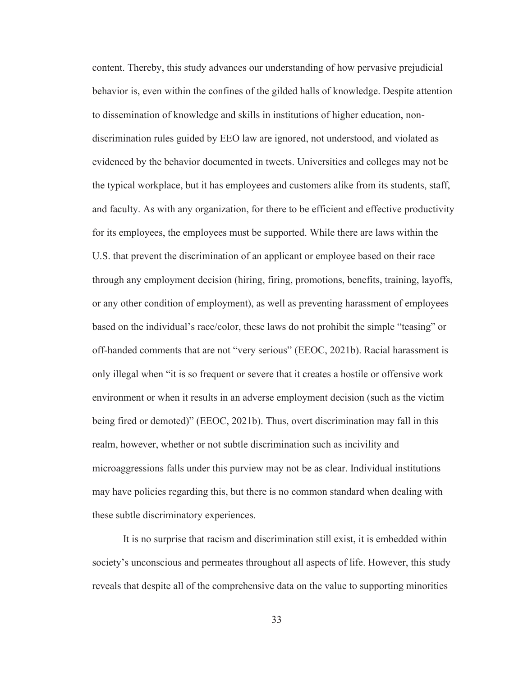content. Thereby, this study advances our understanding of how pervasive prejudicial behavior is, even within the confines of the gilded halls of knowledge. Despite attention to dissemination of knowledge and skills in institutions of higher education, nondiscrimination rules guided by EEO law are ignored, not understood, and violated as evidenced by the behavior documented in tweets. Universities and colleges may not be the typical workplace, but it has employees and customers alike from its students, staff, and faculty. As with any organization, for there to be efficient and effective productivity for its employees, the employees must be supported. While there are laws within the U.S. that prevent the discrimination of an applicant or employee based on their race through any employment decision (hiring, firing, promotions, benefits, training, layoffs, or any other condition of employment), as well as preventing harassment of employees based on the individual's race/color, these laws do not prohibit the simple "teasing" or off-handed comments that are not "very serious" (EEOC, 2021b). Racial harassment is only illegal when "it is so frequent or severe that it creates a hostile or offensive work environment or when it results in an adverse employment decision (such as the victim being fired or demoted)" (EEOC, 2021b). Thus, overt discrimination may fall in this realm, however, whether or not subtle discrimination such as incivility and microaggressions falls under this purview may not be as clear. Individual institutions may have policies regarding this, but there is no common standard when dealing with these subtle discriminatory experiences.

It is no surprise that racism and discrimination still exist, it is embedded within society's unconscious and permeates throughout all aspects of life. However, this study reveals that despite all of the comprehensive data on the value to supporting minorities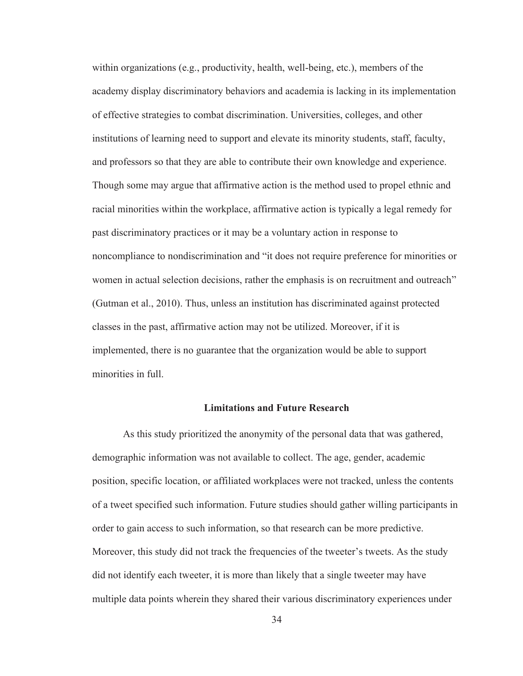within organizations (e.g., productivity, health, well-being, etc.), members of the academy display discriminatory behaviors and academia is lacking in its implementation of effective strategies to combat discrimination. Universities, colleges, and other institutions of learning need to support and elevate its minority students, staff, faculty, and professors so that they are able to contribute their own knowledge and experience. Though some may argue that affirmative action is the method used to propel ethnic and racial minorities within the workplace, affirmative action is typically a legal remedy for past discriminatory practices or it may be a voluntary action in response to noncompliance to nondiscrimination and "it does not require preference for minorities or women in actual selection decisions, rather the emphasis is on recruitment and outreach" (Gutman et al., 2010). Thus, unless an institution has discriminated against protected classes in the past, affirmative action may not be utilized. Moreover, if it is implemented, there is no guarantee that the organization would be able to support minorities in full.

#### **Limitations and Future Research**

As this study prioritized the anonymity of the personal data that was gathered, demographic information was not available to collect. The age, gender, academic position, specific location, or affiliated workplaces were not tracked, unless the contents of a tweet specified such information. Future studies should gather willing participants in order to gain access to such information, so that research can be more predictive. Moreover, this study did not track the frequencies of the tweeter's tweets. As the study did not identify each tweeter, it is more than likely that a single tweeter may have multiple data points wherein they shared their various discriminatory experiences under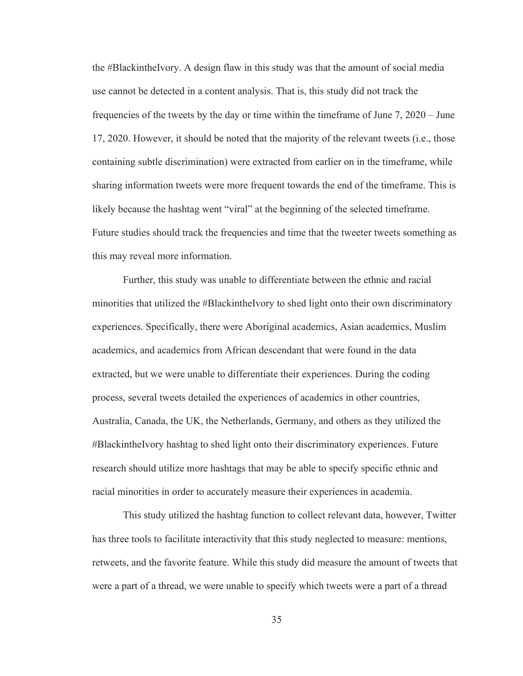the #BlackintheIvory. A design flaw in this study was that the amount of social media use cannot be detected in a content analysis. That is, this study did not track the frequencies of the tweets by the day or time within the timeframe of June 7, 2020 – June 17, 2020. However, it should be noted that the majority of the relevant tweets (i.e., those containing subtle discrimination) were extracted from earlier on in the timeframe, while sharing information tweets were more frequent towards the end of the timeframe. This is likely because the hashtag went "viral" at the beginning of the selected timeframe. Future studies should track the frequencies and time that the tweeter tweets something as this may reveal more information.

Further, this study was unable to differentiate between the ethnic and racial minorities that utilized the #BlackintheIvory to shed light onto their own discriminatory experiences. Specifically, there were Aboriginal academics, Asian academics, Muslim academics, and academics from African descendant that were found in the data extracted, but we were unable to differentiate their experiences. During the coding process, several tweets detailed the experiences of academics in other countries, Australia, Canada, the UK, the Netherlands, Germany, and others as they utilized the #BlackintheIvory hashtag to shed light onto their discriminatory experiences. Future research should utilize more hashtags that may be able to specify specific ethnic and racial minorities in order to accurately measure their experiences in academia.

This study utilized the hashtag function to collect relevant data, however, Twitter has three tools to facilitate interactivity that this study neglected to measure: mentions, retweets, and the favorite feature. While this study did measure the amount of tweets that were a part of a thread, we were unable to specify which tweets were a part of a thread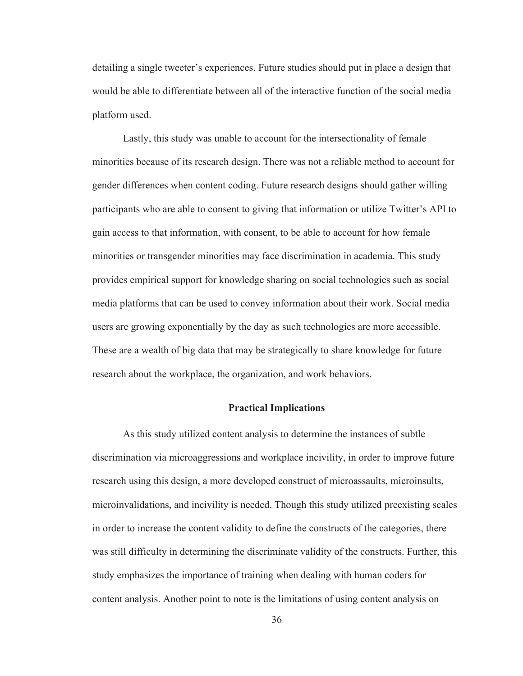detailing a single tweeter's experiences. Future studies should put in place a design that would be able to differentiate between all of the interactive function of the social media platform used.

Lastly, this study was unable to account for the intersectionality of female minorities because of its research design. There was not a reliable method to account for gender differences when content coding. Future research designs should gather willing participants who are able to consent to giving that information or utilize Twitter's API to gain access to that information, with consent, to be able to account for how female minorities or transgender minorities may face discrimination in academia. This study provides empirical support for knowledge sharing on social technologies such as social media platforms that can be used to convey information about their work. Social media users are growing exponentially by the day as such technologies are more accessible. These are a wealth of big data that may be strategically to share knowledge for future research about the workplace, the organization, and work behaviors.

## **Practical Implications**

As this study utilized content analysis to determine the instances of subtle discrimination via microaggressions and workplace incivility, in order to improve future research using this design, a more developed construct of microassaults, microinsults, microinvalidations, and incivility is needed. Though this study utilized preexisting scales in order to increase the content validity to define the constructs of the categories, there was still difficulty in determining the discriminate validity of the constructs. Further, this study emphasizes the importance of training when dealing with human coders for content analysis. Another point to note is the limitations of using content analysis on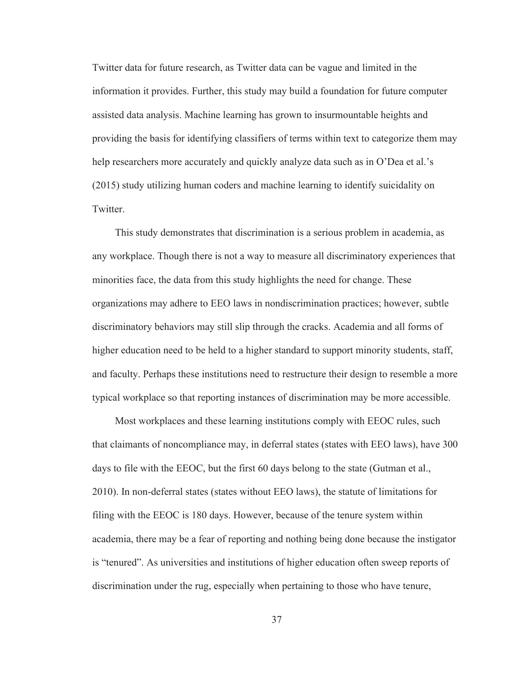Twitter data for future research, as Twitter data can be vague and limited in the information it provides. Further, this study may build a foundation for future computer assisted data analysis. Machine learning has grown to insurmountable heights and providing the basis for identifying classifiers of terms within text to categorize them may help researchers more accurately and quickly analyze data such as in O'Dea et al.'s (2015) study utilizing human coders and machine learning to identify suicidality on Twitter.

This study demonstrates that discrimination is a serious problem in academia, as any workplace. Though there is not a way to measure all discriminatory experiences that minorities face, the data from this study highlights the need for change. These organizations may adhere to EEO laws in nondiscrimination practices; however, subtle discriminatory behaviors may still slip through the cracks. Academia and all forms of higher education need to be held to a higher standard to support minority students, staff, and faculty. Perhaps these institutions need to restructure their design to resemble a more typical workplace so that reporting instances of discrimination may be more accessible.

Most workplaces and these learning institutions comply with EEOC rules, such that claimants of noncompliance may, in deferral states (states with EEO laws), have 300 days to file with the EEOC, but the first 60 days belong to the state (Gutman et al., 2010). In non-deferral states (states without EEO laws), the statute of limitations for filing with the EEOC is 180 days. However, because of the tenure system within academia, there may be a fear of reporting and nothing being done because the instigator is "tenured". As universities and institutions of higher education often sweep reports of discrimination under the rug, especially when pertaining to those who have tenure,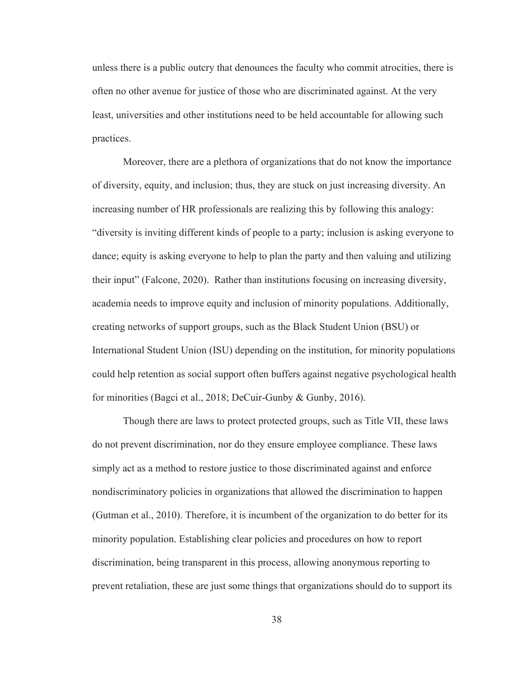unless there is a public outcry that denounces the faculty who commit atrocities, there is often no other avenue for justice of those who are discriminated against. At the very least, universities and other institutions need to be held accountable for allowing such practices.

Moreover, there are a plethora of organizations that do not know the importance of diversity, equity, and inclusion; thus, they are stuck on just increasing diversity. An increasing number of HR professionals are realizing this by following this analogy: "diversity is inviting different kinds of people to a party; inclusion is asking everyone to dance; equity is asking everyone to help to plan the party and then valuing and utilizing their input" (Falcone, 2020). Rather than institutions focusing on increasing diversity, academia needs to improve equity and inclusion of minority populations. Additionally, creating networks of support groups, such as the Black Student Union (BSU) or International Student Union (ISU) depending on the institution, for minority populations could help retention as social support often buffers against negative psychological health for minorities (Bagci et al., 2018; DeCuir-Gunby & Gunby, 2016).

Though there are laws to protect protected groups, such as Title VII, these laws do not prevent discrimination, nor do they ensure employee compliance. These laws simply act as a method to restore justice to those discriminated against and enforce nondiscriminatory policies in organizations that allowed the discrimination to happen (Gutman et al., 2010). Therefore, it is incumbent of the organization to do better for its minority population. Establishing clear policies and procedures on how to report discrimination, being transparent in this process, allowing anonymous reporting to prevent retaliation, these are just some things that organizations should do to support its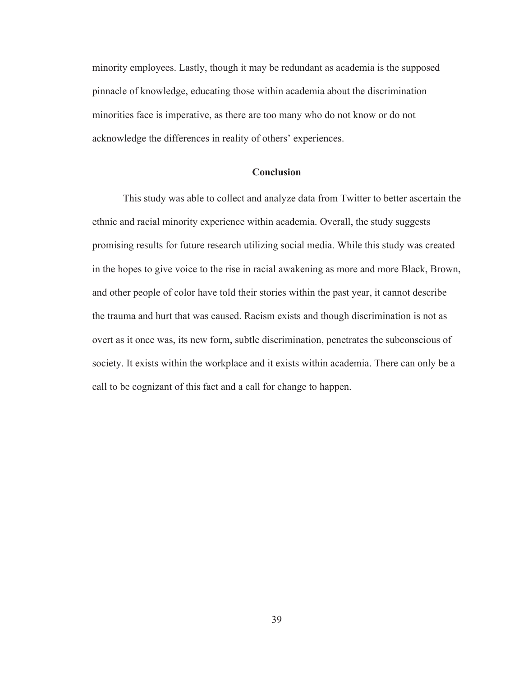minority employees. Lastly, though it may be redundant as academia is the supposed pinnacle of knowledge, educating those within academia about the discrimination minorities face is imperative, as there are too many who do not know or do not acknowledge the differences in reality of others' experiences.

## **Conclusion**

This study was able to collect and analyze data from Twitter to better ascertain the ethnic and racial minority experience within academia. Overall, the study suggests promising results for future research utilizing social media. While this study was created in the hopes to give voice to the rise in racial awakening as more and more Black, Brown, and other people of color have told their stories within the past year, it cannot describe the trauma and hurt that was caused. Racism exists and though discrimination is not as overt as it once was, its new form, subtle discrimination, penetrates the subconscious of society. It exists within the workplace and it exists within academia. There can only be a call to be cognizant of this fact and a call for change to happen.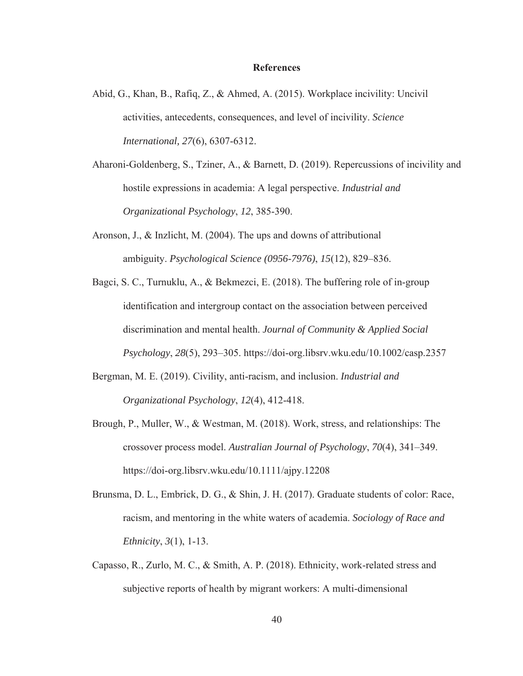#### **References**

- Abid, G., Khan, B., Rafiq, Z., & Ahmed, A. (2015). Workplace incivility: Uncivil activities, antecedents, consequences, and level of incivility. *Science International, 27*(6), 6307-6312.
- Aharoni-Goldenberg, S., Tziner, A., & Barnett, D. (2019). Repercussions of incivility and hostile expressions in academia: A legal perspective. *Industrial and Organizational Psychology*, *12*, 385-390.
- Aronson, J., & Inzlicht, M. (2004). The ups and downs of attributional ambiguity. *Psychological Science (0956-7976)*, *15*(12), 829–836.
- Bagci, S. C., Turnuklu, A., & Bekmezci, E. (2018). The buffering role of in‐group identification and intergroup contact on the association between perceived discrimination and mental health. *Journal of Community & Applied Social Psychology*, *28*(5), 293–305. https://doi-org.libsrv.wku.edu/10.1002/casp.2357
- Bergman, M. E. (2019). Civility, anti-racism, and inclusion. *Industrial and Organizational Psychology*, *12*(4), 412-418.
- Brough, P., Muller, W., & Westman, M. (2018). Work, stress, and relationships: The crossover process model. *Australian Journal of Psychology*, *70*(4), 341–349. https://doi-org.libsrv.wku.edu/10.1111/ajpy.12208
- Brunsma, D. L., Embrick, D. G., & Shin, J. H. (2017). Graduate students of color: Race, racism, and mentoring in the white waters of academia. *Sociology of Race and Ethnicity*, *3*(1), 1-13.
- Capasso, R., Zurlo, M. C., & Smith, A. P. (2018). Ethnicity, work-related stress and subjective reports of health by migrant workers: A multi-dimensional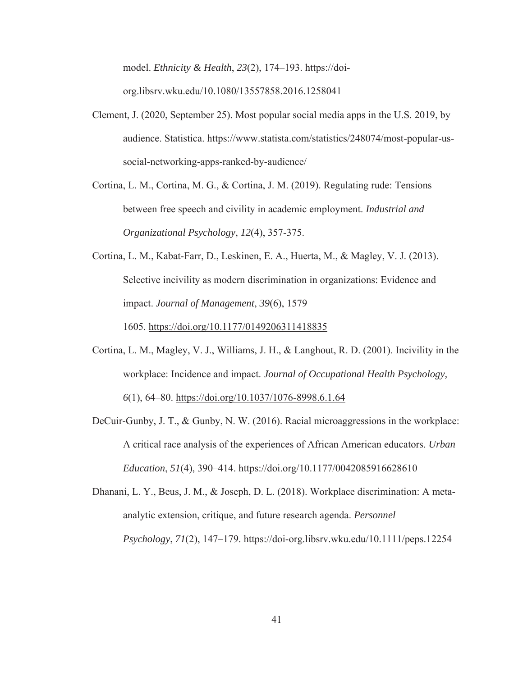model. *Ethnicity & Health*, *23*(2), 174–193. https://doiorg.libsrv.wku.edu/10.1080/13557858.2016.1258041

- Clement, J. (2020, September 25). Most popular social media apps in the U.S. 2019, by audience. Statistica. https://www.statista.com/statistics/248074/most-popular-ussocial-networking-apps-ranked-by-audience/
- Cortina, L. M., Cortina, M. G., & Cortina, J. M. (2019). Regulating rude: Tensions between free speech and civility in academic employment. *Industrial and Organizational Psychology*, *12*(4), 357-375.
- Cortina, L. M., Kabat-Farr, D., Leskinen, E. A., Huerta, M., & Magley, V. J. (2013). Selective incivility as modern discrimination in organizations: Evidence and impact. *Journal of Management*, *39*(6), 1579–

1605. https://doi.org/10.1177/0149206311418835

- Cortina, L. M., Magley, V. J., Williams, J. H., & Langhout, R. D. (2001). Incivility in the workplace: Incidence and impact. *Journal of Occupational Health Psychology, 6*(1), 64–80. https://doi.org/10.1037/1076-8998.6.1.64
- DeCuir-Gunby, J. T., & Gunby, N. W. (2016). Racial microaggressions in the workplace: A critical race analysis of the experiences of African American educators. *Urban Education*, *51*(4), 390–414. https://doi.org/10.1177/0042085916628610
- Dhanani, L. Y., Beus, J. M., & Joseph, D. L. (2018). Workplace discrimination: A meta‐ analytic extension, critique, and future research agenda. *Personnel Psychology*, *71*(2), 147–179. https://doi-org.libsrv.wku.edu/10.1111/peps.12254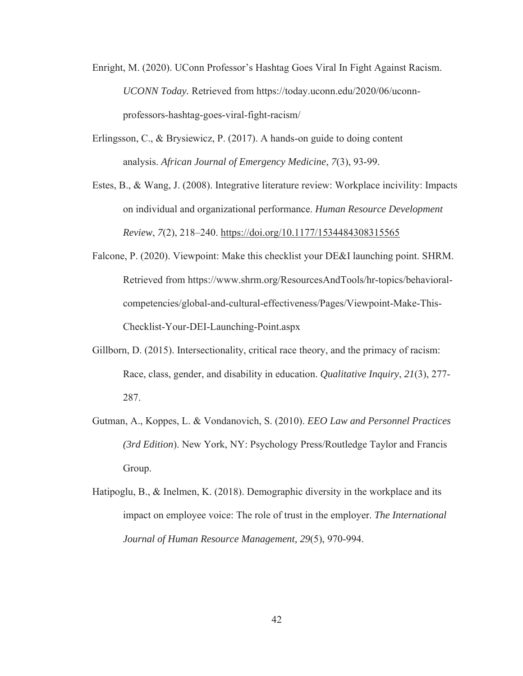- Enright, M. (2020). UConn Professor's Hashtag Goes Viral In Fight Against Racism. *UCONN Today.* Retrieved from https://today.uconn.edu/2020/06/uconnprofessors-hashtag-goes-viral-fight-racism/
- Erlingsson, C., & Brysiewicz, P. (2017). A hands-on guide to doing content analysis. *African Journal of Emergency Medicine*, *7*(3), 93-99.
- Estes, B., & Wang, J. (2008). Integrative literature review: Workplace incivility: Impacts on individual and organizational performance. *Human Resource Development Review*, *7*(2), 218–240. https://doi.org/10.1177/1534484308315565
- Falcone, P. (2020). Viewpoint: Make this checklist your DE&I launching point. SHRM. Retrieved from https://www.shrm.org/ResourcesAndTools/hr-topics/behavioralcompetencies/global-and-cultural-effectiveness/Pages/Viewpoint-Make-This-Checklist-Your-DEI-Launching-Point.aspx
- Gillborn, D. (2015). Intersectionality, critical race theory, and the primacy of racism: Race, class, gender, and disability in education. *Qualitative Inquiry*, *21*(3), 277- 287.
- Gutman, A., Koppes, L. & Vondanovich, S. (2010). *EEO Law and Personnel Practices (3rd Edition*). New York, NY: Psychology Press/Routledge Taylor and Francis Group.
- Hatipoglu, B., & Inelmen, K. (2018). Demographic diversity in the workplace and its impact on employee voice: The role of trust in the employer. *The International Journal of Human Resource Management, 29*(5), 970-994.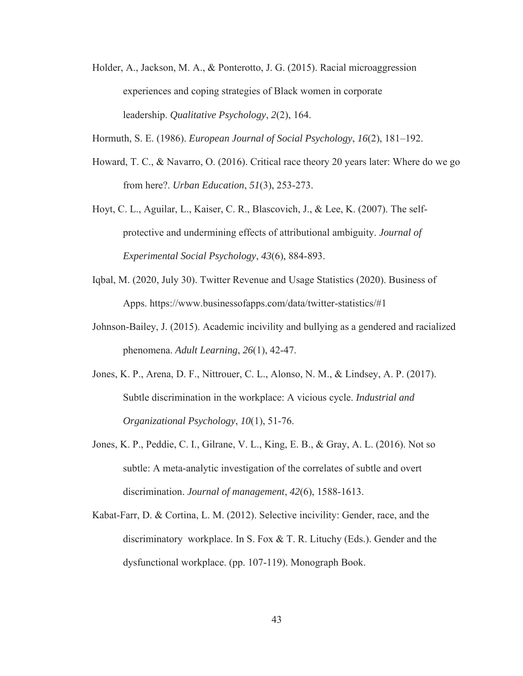- Holder, A., Jackson, M. A., & Ponterotto, J. G. (2015). Racial microaggression experiences and coping strategies of Black women in corporate leadership. *Qualitative Psychology*, *2*(2), 164.
- Hormuth, S. E. (1986). *European Journal of Social Psychology*, *16*(2), 181–192.
- Howard, T. C., & Navarro, O. (2016). Critical race theory 20 years later: Where do we go from here?. *Urban Education*, *51*(3), 253-273.
- Hoyt, C. L., Aguilar, L., Kaiser, C. R., Blascovich, J., & Lee, K. (2007). The selfprotective and undermining effects of attributional ambiguity. *Journal of Experimental Social Psychology*, *43*(6), 884-893.
- Iqbal, M. (2020, July 30). Twitter Revenue and Usage Statistics (2020). Business of Apps. https://www.businessofapps.com/data/twitter-statistics/#1
- Johnson-Bailey, J. (2015). Academic incivility and bullying as a gendered and racialized phenomena. *Adult Learning*, *26*(1), 42-47.
- Jones, K. P., Arena, D. F., Nittrouer, C. L., Alonso, N. M., & Lindsey, A. P. (2017). Subtle discrimination in the workplace: A vicious cycle. *Industrial and Organizational Psychology*, *10*(1), 51-76.
- Jones, K. P., Peddie, C. I., Gilrane, V. L., King, E. B., & Gray, A. L. (2016). Not so subtle: A meta-analytic investigation of the correlates of subtle and overt discrimination. *Journal of management*, *42*(6), 1588-1613.
- Kabat-Farr, D. & Cortina, L. M. (2012). Selective incivility: Gender, race, and the discriminatory workplace. In S. Fox & T. R. Lituchy (Eds.). Gender and the dysfunctional workplace. (pp. 107-119). Monograph Book.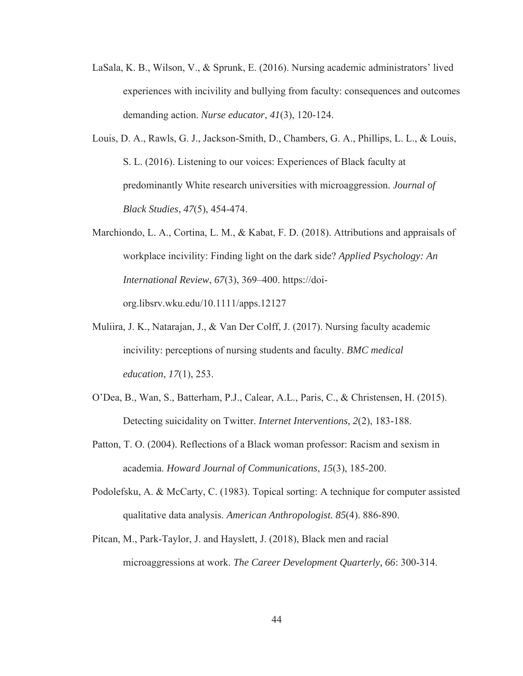- LaSala, K. B., Wilson, V., & Sprunk, E. (2016). Nursing academic administrators' lived experiences with incivility and bullying from faculty: consequences and outcomes demanding action. *Nurse educator*, *41*(3), 120-124.
- Louis, D. A., Rawls, G. J., Jackson-Smith, D., Chambers, G. A., Phillips, L. L., & Louis, S. L. (2016). Listening to our voices: Experiences of Black faculty at predominantly White research universities with microaggression. *Journal of Black Studies*, *47*(5), 454-474.
- Marchiondo, L. A., Cortina, L. M., & Kabat, F. D. (2018). Attributions and appraisals of workplace incivility: Finding light on the dark side? *Applied Psychology: An International Review*, *67*(3), 369–400. https://doiorg.libsrv.wku.edu/10.1111/apps.12127
- Muliira, J. K., Natarajan, J., & Van Der Colff, J. (2017). Nursing faculty academic incivility: perceptions of nursing students and faculty. *BMC medical education*, *17*(1), 253.
- O'Dea, B., Wan, S., Batterham, P.J., Calear, A.L., Paris, C., & Christensen, H. (2015). Detecting suicidality on Twitter. *Internet Interventions, 2*(2), 183-188.
- Patton, T. O. (2004). Reflections of a Black woman professor: Racism and sexism in academia. *Howard Journal of Communications*, *15*(3), 185-200.
- Podolefsku, A. & McCarty, C. (1983). Topical sorting: A technique for computer assisted qualitative data analysis. *American Anthropologist. 85*(4). 886-890.
- Pitcan, M., Park‐Taylor, J. and Hayslett, J. (2018), Black men and racial microaggressions at work. *The Career Development Quarterly, 66*: 300-314.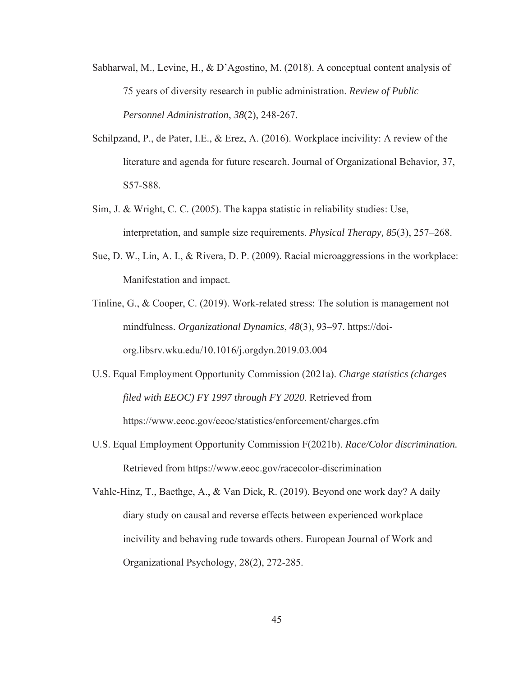- Sabharwal, M., Levine, H., & D'Agostino, M. (2018). A conceptual content analysis of 75 years of diversity research in public administration. *Review of Public Personnel Administration*, *38*(2), 248-267.
- Schilpzand, P., de Pater, I.E., & Erez, A. (2016). Workplace incivility: A review of the literature and agenda for future research. Journal of Organizational Behavior, 37, S57-S88.
- Sim, J. & Wright, C. C. (2005). The kappa statistic in reliability studies: Use, interpretation, and sample size requirements. *Physical Therapy, 85*(3), 257–268.
- Sue, D. W., Lin, A. I., & Rivera, D. P. (2009). Racial microaggressions in the workplace: Manifestation and impact.
- Tinline, G., & Cooper, C. (2019). Work-related stress: The solution is management not mindfulness. *Organizational Dynamics*, *48*(3), 93–97. https://doiorg.libsrv.wku.edu/10.1016/j.orgdyn.2019.03.004
- U.S. Equal Employment Opportunity Commission (2021a). *Charge statistics (charges filed with EEOC) FY 1997 through FY 2020*. Retrieved from https://www.eeoc.gov/eeoc/statistics/enforcement/charges.cfm
- U.S. Equal Employment Opportunity Commission F(2021b). *Race/Color discrimination.* Retrieved from https://www.eeoc.gov/racecolor-discrimination

Vahle-Hinz, T., Baethge, A., & Van Dick, R. (2019). Beyond one work day? A daily diary study on causal and reverse effects between experienced workplace incivility and behaving rude towards others. European Journal of Work and Organizational Psychology, 28(2), 272-285.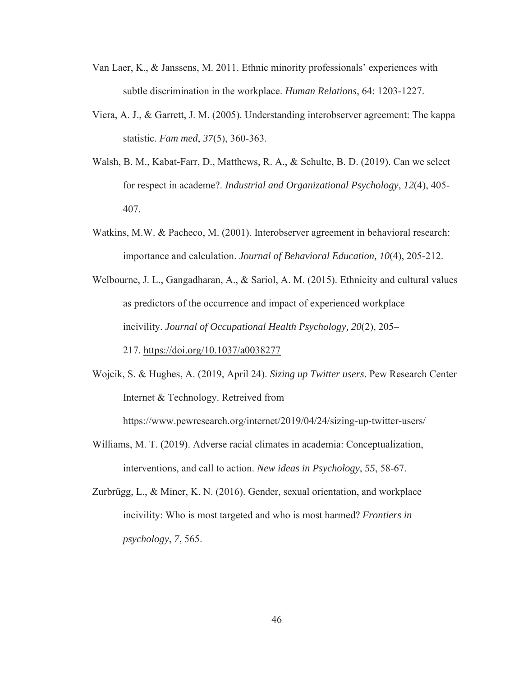- Van Laer, K., & Janssens, M. 2011. Ethnic minority professionals' experiences with subtle discrimination in the workplace. *Human Relations*, 64: 1203-1227.
- Viera, A. J., & Garrett, J. M. (2005). Understanding interobserver agreement: The kappa statistic. *Fam med*, *37*(5), 360-363.
- Walsh, B. M., Kabat-Farr, D., Matthews, R. A., & Schulte, B. D. (2019). Can we select for respect in academe?. *Industrial and Organizational Psychology*, *12*(4), 405- 407.
- Watkins, M.W. & Pacheco, M. (2001). Interobserver agreement in behavioral research: importance and calculation. *Journal of Behavioral Education, 10*(4), 205-212.
- Welbourne, J. L., Gangadharan, A., & Sariol, A. M. (2015). Ethnicity and cultural values as predictors of the occurrence and impact of experienced workplace incivility. *Journal of Occupational Health Psychology, 20*(2), 205–

217. https://doi.org/10.1037/a0038277

Wojcik, S. & Hughes, A. (2019, April 24). *Sizing up Twitter users*. Pew Research Center Internet & Technology. Retreived from

https://www.pewresearch.org/internet/2019/04/24/sizing-up-twitter-users/

- Williams, M. T. (2019). Adverse racial climates in academia: Conceptualization, interventions, and call to action. *New ideas in Psychology*, *55*, 58-67.
- Zurbrügg, L., & Miner, K. N. (2016). Gender, sexual orientation, and workplace incivility: Who is most targeted and who is most harmed? *Frontiers in psychology*, *7*, 565.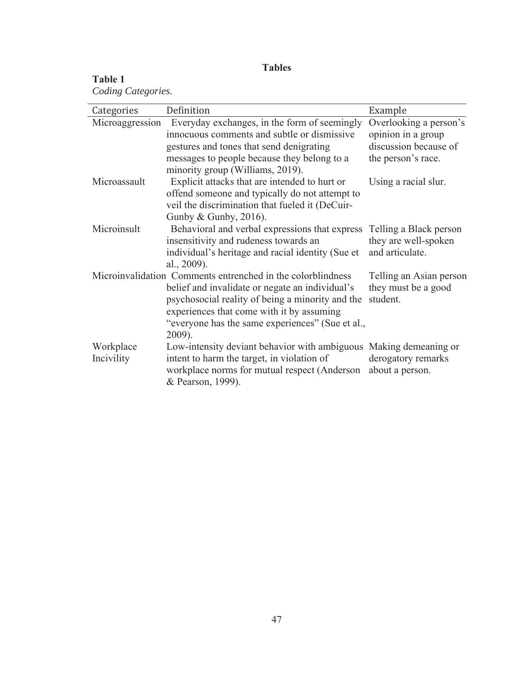# **Tables**

# **Table 1**

*Coding Categories.* 

| Categories      | Definition                                                        | Example                 |
|-----------------|-------------------------------------------------------------------|-------------------------|
| Microaggression | Everyday exchanges, in the form of seemingly                      | Overlooking a person's  |
|                 | innocuous comments and subtle or dismissive                       | opinion in a group      |
|                 | gestures and tones that send denigrating                          | discussion because of   |
|                 | messages to people because they belong to a                       | the person's race.      |
|                 | minority group (Williams, 2019).                                  |                         |
| Microassault    | Explicit attacks that are intended to hurt or                     | Using a racial slur.    |
|                 | offend someone and typically do not attempt to                    |                         |
|                 | veil the discrimination that fueled it (DeCuir-                   |                         |
|                 | Gunby & Gunby, $2016$ ).                                          |                         |
| Microinsult     | Behavioral and verbal expressions that express                    | Telling a Black person  |
|                 | insensitivity and rudeness towards an                             | they are well-spoken    |
|                 | individual's heritage and racial identity (Sue et                 | and articulate.         |
|                 | al., 2009).                                                       |                         |
|                 | Microinvalidation Comments entrenched in the colorblindness       | Telling an Asian person |
|                 | belief and invalidate or negate an individual's                   | they must be a good     |
|                 | psychosocial reality of being a minority and the                  | student.                |
|                 | experiences that come with it by assuming                         |                         |
|                 | "everyone has the same experiences" (Sue et al.,                  |                         |
|                 | 2009).                                                            |                         |
| Workplace       | Low-intensity deviant behavior with ambiguous Making demeaning or |                         |
| Incivility      | intent to harm the target, in violation of                        | derogatory remarks      |
|                 | workplace norms for mutual respect (Anderson                      | about a person.         |
|                 | & Pearson, 1999).                                                 |                         |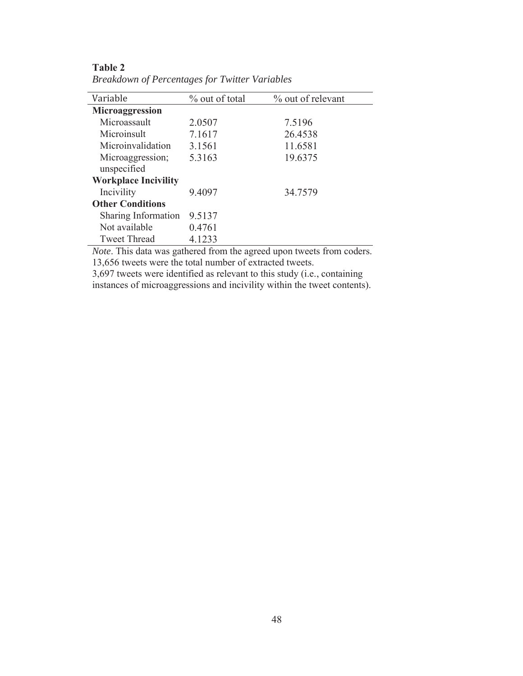| Variable                    | % out of total | % out of relevant |
|-----------------------------|----------------|-------------------|
| Microaggression             |                |                   |
| Microassault                | 2.0507         | 7.5196            |
| Microinsult                 | 7.1617         | 26.4538           |
| Microinvalidation           | 3.1561         | 11.6581           |
| Microaggression;            | 5.3163         | 19.6375           |
| unspecified                 |                |                   |
| <b>Workplace Incivility</b> |                |                   |
| Incivility                  | 9.4097         | 34.7579           |
| <b>Other Conditions</b>     |                |                   |
| Sharing Information         | 9.5137         |                   |
| Not available               | 0.4761         |                   |
| <b>Tweet Thread</b>         | 4.1233         |                   |

**Table 2**  *Breakdown of Percentages for Twitter Variables*

*Note*. This data was gathered from the agreed upon tweets from coders. 13,656 tweets were the total number of extracted tweets.

3,697 tweets were identified as relevant to this study (i.e., containing instances of microaggressions and incivility within the tweet contents).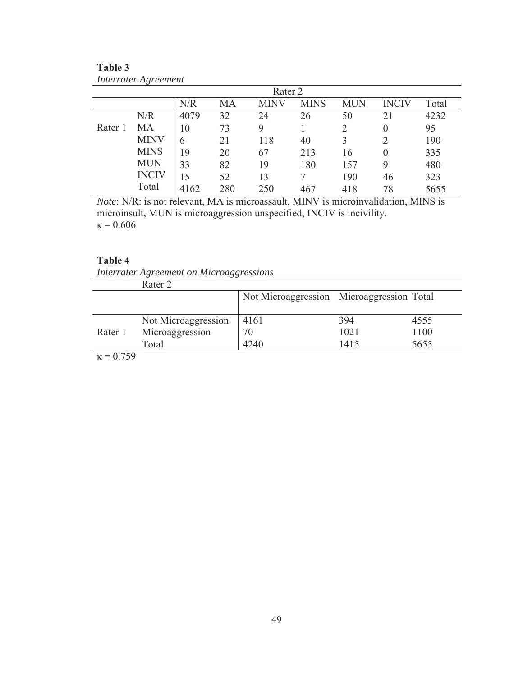| Rater 2 |              |      |     |      |             |            |              |       |
|---------|--------------|------|-----|------|-------------|------------|--------------|-------|
|         |              | N/R  | MA  | MINV | <b>MINS</b> | <b>MUN</b> | <b>INCIV</b> | Total |
|         | N/R          | 4079 | 32  | 24   | 26          | 50         | 21           | 4232  |
| Rater 1 | MA           | 10   | 73  | 9    |             |            | 0            | 95    |
|         | <b>MINV</b>  | 6    | 21  | 118  | 40          |            |              | 190   |
|         | <b>MINS</b>  | 19   | 20  | 67   | 213         | 16         |              | 335   |
|         | <b>MUN</b>   | 33   | 82  | 19   | 180         | 157        | 9            | 480   |
|         | <b>INCIV</b> | 15   | 52  | 13   |             | 190        | 46           | 323   |
|         | Total        | 4162 | 280 | 250  | 467         | 418        | 78           | 5655  |

**Table 3**  *Interrater Agreement* 

*Note*: N/R: is not relevant, MA is microassault, MINV is microinvalidation, MINS is microinsult, MUN is microaggression unspecified, INCIV is incivility.  $κ = 0.606$ 

# **Table 4**

*Interrater Agreement on Microaggressions* 

|                   | Rater 2             |                                           |      |      |
|-------------------|---------------------|-------------------------------------------|------|------|
|                   |                     | Not Microaggression Microaggression Total |      |      |
|                   |                     |                                           |      |      |
|                   | Not Microaggression | 4161                                      | 394  | 4555 |
| Rater 1           | Microaggression     |                                           | 1021 | 1100 |
|                   | Total               | 4240                                      | 1415 | 5655 |
| $\sim$ $=$ $\sim$ |                     |                                           |      |      |

 $κ = 0.759$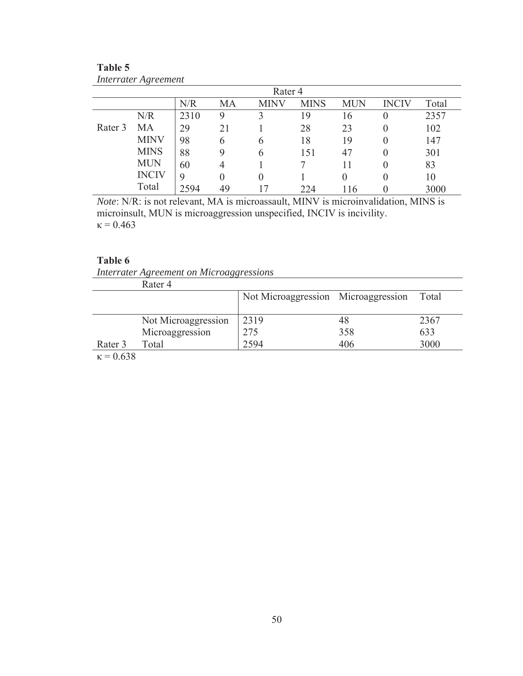| Rater 4 |              |      |          |                  |             |            |              |       |
|---------|--------------|------|----------|------------------|-------------|------------|--------------|-------|
|         |              | N/R  | MA       | <b>INV</b>       | <b>MINS</b> | <b>MUN</b> | <b>INCIV</b> | Total |
|         | N/R          | 2310 | 9        |                  | 19          | 16         |              | 2357  |
| Rater 3 | MA           | 29   | 21       |                  | 28          | 23         |              | 102   |
|         | <b>MINV</b>  | 98   | 6        | 6                | 18          | 19         |              | 147   |
|         | <b>MINS</b>  | 88   | 9        | 6                | 151         | 47         |              | 301   |
|         | <b>MUN</b>   | 60   | 4        |                  |             |            |              | 83    |
|         | <b>INCIV</b> | 9    | $\theta$ | $\left( \right)$ |             |            |              | 10    |
|         | Total        | 2594 | 49       |                  | 224         | 116        |              | 3000  |

**Table 5**  *Interrater Agreement* 

*Note*: N/R: is not relevant, MA is microassault, MINV is microinvalidation, MINS is microinsult, MUN is microaggression unspecified, INCIV is incivility.  $κ = 0.463$ 

# **Table 6**

*Interrater Agreement on Microaggressions* 

|            | Rater 4             |                                     |     |       |
|------------|---------------------|-------------------------------------|-----|-------|
|            |                     | Not Microaggression Microaggression |     | Total |
|            |                     |                                     |     |       |
|            | Not Microaggression | 2319                                | 48  | 2367  |
|            | Microaggression     | 275                                 | 358 | 633   |
| Rater 3    | Total               | 2594                                | 406 | 3000  |
| $\cap$ con |                     |                                     |     |       |

 $\kappa$  = 0.638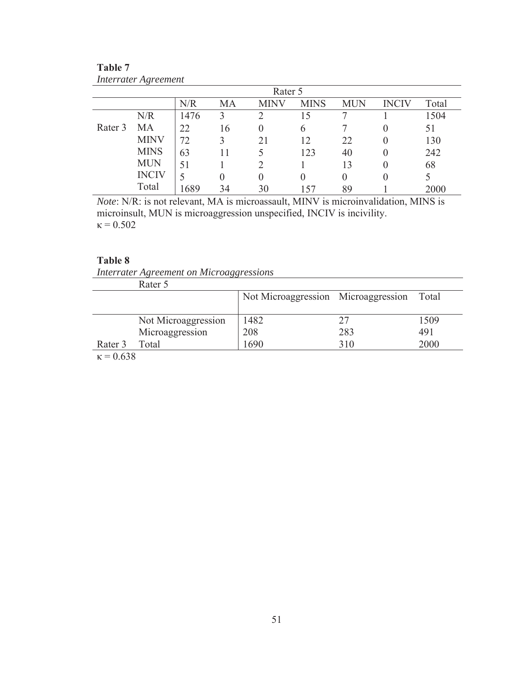| Rater 5 |              |      |    |          |             |            |              |       |
|---------|--------------|------|----|----------|-------------|------------|--------------|-------|
|         |              | N/R  | MA | INV      | <b>MINS</b> | <b>MUN</b> | <b>INCIV</b> | Total |
|         | N/R          | 1476 | 3  |          | l 5         |            |              | 1504  |
| Rater 3 | MA           | 22   | 16 | $\theta$ | $\sigma$    |            |              | 51    |
|         | <b>MINV</b>  | 72   |    | 21       | 12          | 22         |              | 130   |
|         | <b>MINS</b>  | 63   |    |          | 123         | 40         |              | 242   |
|         | <b>MUN</b>   | 51   |    |          |             | 13         |              | 68    |
|         | <b>INCIV</b> |      | 0  | $\theta$ | $\theta$    | 0          |              |       |
|         | Total        | 1689 | 34 | 30       | 57          | 89         |              | 2000  |

**Table 7**  *Interrater Agreement* 

*Note*: N/R: is not relevant, MA is microassault, MINV is microinvalidation, MINS is microinsult, MUN is microaggression unspecified, INCIV is incivility.  $\kappa$  = 0.502

# **Table 8**

*Interrater Agreement on Microaggressions* 

|            | Rater 5             |                                     |     |       |
|------------|---------------------|-------------------------------------|-----|-------|
|            |                     | Not Microaggression Microaggression |     | Total |
|            |                     |                                     |     |       |
|            | Not Microaggression | 1482                                |     | 1509  |
|            | Microaggression     | 208                                 | 283 | 491   |
| Rater 3    | Total               | 1690                                | 310 | 2000  |
| $\cap$ con |                     |                                     |     |       |

 $\kappa$  = 0.638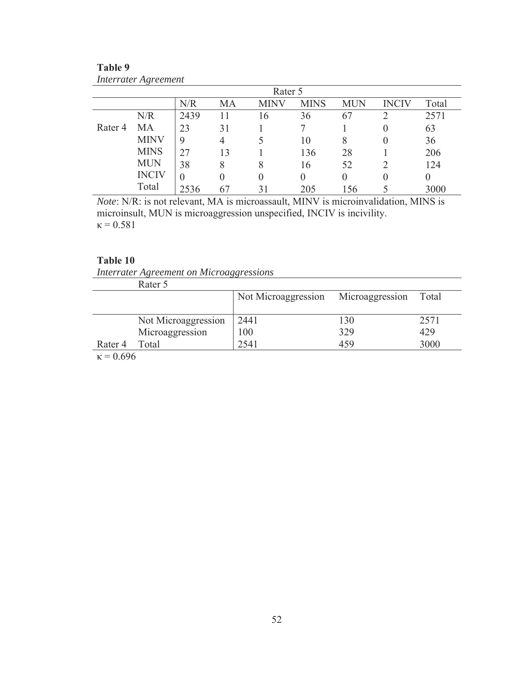| Rater 5            |              |          |    |      |             |            |              |       |
|--------------------|--------------|----------|----|------|-------------|------------|--------------|-------|
|                    |              | N/R      | MA | MINV | <b>MINS</b> | <b>MUN</b> | <b>INCIV</b> | Total |
|                    | N/R          | 2439     |    | 16   | 36          | 67         |              | 2571  |
| Rater <sub>4</sub> | MA           | 23       | 31 |      |             |            |              | 63    |
|                    | <b>MINV</b>  | 9        | 4  |      | 10          | 8          |              | 36    |
|                    | <b>MINS</b>  | 27       | 13 |      | 136         | 28         |              | 206   |
|                    | <b>MUN</b>   | 38       | 8  | 8    | 16          | 52         |              | 124   |
|                    | <b>INCIV</b> | $\theta$ | 0  | 0    | 0           |            |              |       |
|                    | Total        | 2536     |    | 31   | 205         | 156        |              | 3000  |

**Table 9**  *Interrater Agreement* 

*Note*: N/R: is not relevant, MA is microassault, MINV is microinvalidation, MINS is microinsult, MUN is microaggression unspecified, INCIV is incivility.  $\kappa$  = 0.581

# **Table 10**

*Interrater Agreement on Microaggressions* 

|         | Rater 5             |                                     |     |       |
|---------|---------------------|-------------------------------------|-----|-------|
|         |                     | Not Microaggression Microaggression |     | Total |
|         |                     |                                     |     |       |
|         | Not Microaggression | 2441                                | 130 | 2571  |
|         | Microaggression     | 100                                 | 329 | 429   |
| Rater 4 | Total               | 2541                                | 459 | 3000  |
| 0.600   |                     |                                     |     |       |

 $κ = 0.696$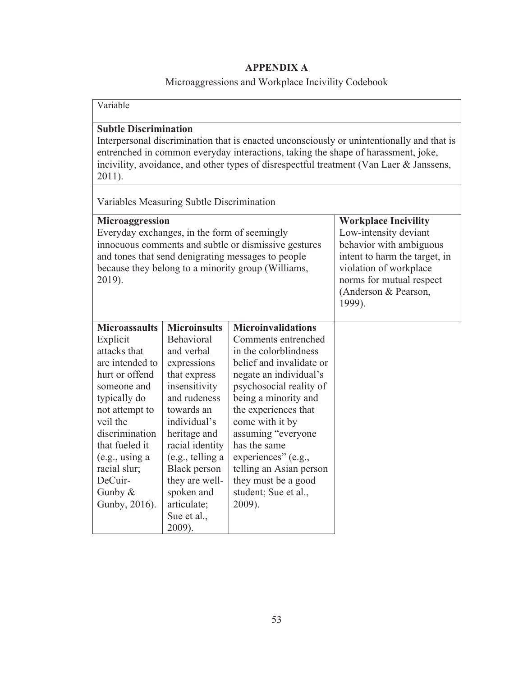# **APPENDIX A**

# Microaggressions and Workplace Incivility Codebook

| Variable                                                                                                                                                                                                                                                                                                            |                                           |                                                                                                                                                                                                          |  |
|---------------------------------------------------------------------------------------------------------------------------------------------------------------------------------------------------------------------------------------------------------------------------------------------------------------------|-------------------------------------------|----------------------------------------------------------------------------------------------------------------------------------------------------------------------------------------------------------|--|
| <b>Subtle Discrimination</b><br>Interpersonal discrimination that is enacted unconsciously or unintentionally and that is<br>entrenched in common everyday interactions, taking the shape of harassment, joke,<br>incivility, avoidance, and other types of disrespectful treatment (Van Laer & Janssens,<br>2011). |                                           |                                                                                                                                                                                                          |  |
|                                                                                                                                                                                                                                                                                                                     | Variables Measuring Subtle Discrimination |                                                                                                                                                                                                          |  |
| Microaggression<br>Everyday exchanges, in the form of seemingly<br>innocuous comments and subtle or dismissive gestures<br>and tones that send denigrating messages to people<br>because they belong to a minority group (Williams,<br>2019).                                                                       |                                           | <b>Workplace Incivility</b><br>Low-intensity deviant<br>behavior with ambiguous<br>intent to harm the target, in<br>violation of workplace<br>norms for mutual respect<br>(Anderson & Pearson,<br>1999). |  |
| <b>Microassaults</b>                                                                                                                                                                                                                                                                                                | <b>Microinsults</b>                       | <b>Microinvalidations</b>                                                                                                                                                                                |  |
| Explicit                                                                                                                                                                                                                                                                                                            | Behavioral                                | Comments entrenched                                                                                                                                                                                      |  |
| attacks that                                                                                                                                                                                                                                                                                                        | and verbal                                | in the colorblindness                                                                                                                                                                                    |  |
| are intended to                                                                                                                                                                                                                                                                                                     | expressions                               | belief and invalidate or                                                                                                                                                                                 |  |
| hurt or offend                                                                                                                                                                                                                                                                                                      | that express                              | negate an individual's                                                                                                                                                                                   |  |
| someone and                                                                                                                                                                                                                                                                                                         | insensitivity                             | psychosocial reality of                                                                                                                                                                                  |  |
| typically do                                                                                                                                                                                                                                                                                                        | and rudeness                              | being a minority and                                                                                                                                                                                     |  |
| not attempt to<br>veil the                                                                                                                                                                                                                                                                                          | towards an<br>individual's                | the experiences that<br>come with it by                                                                                                                                                                  |  |
| discrimination                                                                                                                                                                                                                                                                                                      | heritage and                              | assuming "everyone                                                                                                                                                                                       |  |
| that fueled it                                                                                                                                                                                                                                                                                                      | racial identity                           | has the same                                                                                                                                                                                             |  |
| (e.g., using a                                                                                                                                                                                                                                                                                                      | (e.g., telling a                          | experiences" (e.g.,                                                                                                                                                                                      |  |
| racial slur;                                                                                                                                                                                                                                                                                                        | Black person                              | telling an Asian person                                                                                                                                                                                  |  |
| DeCuir-                                                                                                                                                                                                                                                                                                             | they are well-                            | they must be a good                                                                                                                                                                                      |  |
| Gunby $&$                                                                                                                                                                                                                                                                                                           | spoken and                                | student; Sue et al.,                                                                                                                                                                                     |  |
| Gunby, 2016).                                                                                                                                                                                                                                                                                                       | articulate;                               | 2009).                                                                                                                                                                                                   |  |
|                                                                                                                                                                                                                                                                                                                     | Sue et al.,                               |                                                                                                                                                                                                          |  |
|                                                                                                                                                                                                                                                                                                                     | 2009).                                    |                                                                                                                                                                                                          |  |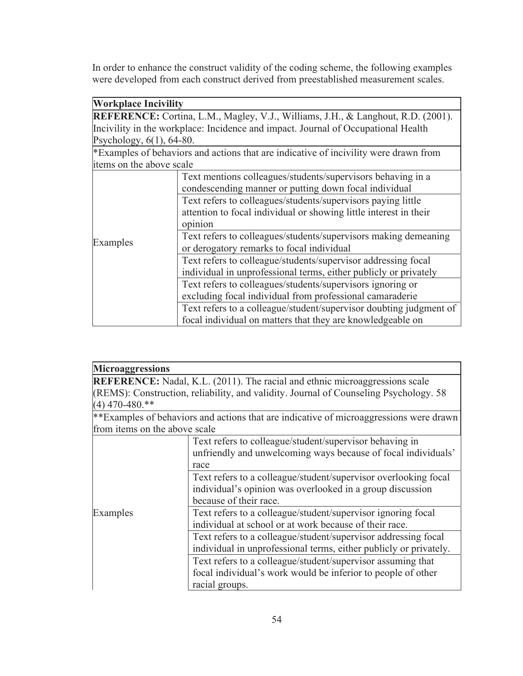In order to enhance the construct validity of the coding scheme, the following examples were developed from each construct derived from preestablished measurement scales.

| <b>Workplace Incivility</b>                                                             |                                                                                      |  |  |
|-----------------------------------------------------------------------------------------|--------------------------------------------------------------------------------------|--|--|
| <b>REFERENCE:</b> Cortina, L.M., Magley, V.J., Williams, J.H., & Langhout, R.D. (2001). |                                                                                      |  |  |
|                                                                                         | Incivility in the workplace: Incidence and impact. Journal of Occupational Health    |  |  |
| Psychology, $6(1)$ , $64-80$ .                                                          |                                                                                      |  |  |
|                                                                                         | *Examples of behaviors and actions that are indicative of incivility were drawn from |  |  |
| items on the above scale                                                                |                                                                                      |  |  |
|                                                                                         | Text mentions colleagues/students/supervisors behaving in a                          |  |  |
|                                                                                         | condescending manner or putting down focal individual                                |  |  |
|                                                                                         | Text refers to colleagues/students/supervisors paying little                         |  |  |
|                                                                                         | attention to focal individual or showing little interest in their                    |  |  |
|                                                                                         | opinion                                                                              |  |  |
| Examples                                                                                | Text refers to colleagues/students/supervisors making demeaning                      |  |  |
|                                                                                         | or derogatory remarks to focal individual                                            |  |  |
|                                                                                         | Text refers to colleague/students/supervisor addressing focal                        |  |  |
|                                                                                         | individual in unprofessional terms, either publicly or privately                     |  |  |
|                                                                                         | Text refers to colleagues/students/supervisors ignoring or                           |  |  |
|                                                                                         | excluding focal individual from professional camaraderie                             |  |  |
|                                                                                         | Text refers to a colleague/student/supervisor doubting judgment of                   |  |  |
|                                                                                         | focal individual on matters that they are knowledgeable on                           |  |  |

| <b>Microaggressions</b>       |                                                                                        |  |
|-------------------------------|----------------------------------------------------------------------------------------|--|
|                               | <b>REFERENCE:</b> Nadal, K.L. (2011). The racial and ethnic microaggressions scale     |  |
|                               | (REMS): Construction, reliability, and validity. Journal of Counseling Psychology. 58  |  |
| $(4)$ 470-480.**              |                                                                                        |  |
|                               | **Examples of behaviors and actions that are indicative of microaggressions were drawn |  |
| from items on the above scale |                                                                                        |  |
|                               | Text refers to colleague/student/supervisor behaving in                                |  |
|                               | unfriendly and unwelcoming ways because of focal individuals'                          |  |
|                               | race                                                                                   |  |
|                               | Text refers to a colleague/student/supervisor overlooking focal                        |  |
|                               | individual's opinion was overlooked in a group discussion                              |  |
|                               | because of their race.                                                                 |  |
| Examples                      | Text refers to a colleague/student/supervisor ignoring focal                           |  |
|                               | individual at school or at work because of their race.                                 |  |
|                               | Text refers to a colleague/student/supervisor addressing focal                         |  |
|                               | individual in unprofessional terms, either publicly or privately.                      |  |
|                               | Text refers to a colleague/student/supervisor assuming that                            |  |
|                               | focal individual's work would be inferior to people of other                           |  |
|                               | racial groups.                                                                         |  |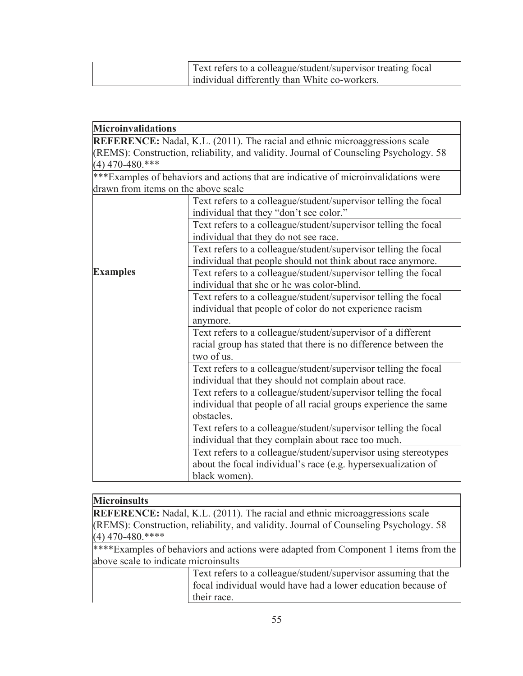| Text refers to a colleague/student/supervisor treating focal |
|--------------------------------------------------------------|
| individual differently than White co-workers.                |

| <b>Microinvalidations</b>                                                             |                                                                                     |  |  |  |
|---------------------------------------------------------------------------------------|-------------------------------------------------------------------------------------|--|--|--|
|                                                                                       | <b>REFERENCE:</b> Nadal, K.L. (2011). The racial and ethnic microaggressions scale  |  |  |  |
| (REMS): Construction, reliability, and validity. Journal of Counseling Psychology. 58 |                                                                                     |  |  |  |
| $(4)$ 470-480.***                                                                     |                                                                                     |  |  |  |
|                                                                                       | ***Examples of behaviors and actions that are indicative of microinvalidations were |  |  |  |
| drawn from items on the above scale                                                   |                                                                                     |  |  |  |
|                                                                                       | Text refers to a colleague/student/supervisor telling the focal                     |  |  |  |
|                                                                                       | individual that they "don't see color."                                             |  |  |  |
|                                                                                       | Text refers to a colleague/student/supervisor telling the focal                     |  |  |  |
|                                                                                       | individual that they do not see race.                                               |  |  |  |
|                                                                                       | Text refers to a colleague/student/supervisor telling the focal                     |  |  |  |
|                                                                                       | individual that people should not think about race anymore.                         |  |  |  |
| <b>Examples</b>                                                                       | Text refers to a colleague/student/supervisor telling the focal                     |  |  |  |
|                                                                                       | individual that she or he was color-blind.                                          |  |  |  |
|                                                                                       | Text refers to a colleague/student/supervisor telling the focal                     |  |  |  |
|                                                                                       | individual that people of color do not experience racism                            |  |  |  |
|                                                                                       | anymore.                                                                            |  |  |  |
|                                                                                       | Text refers to a colleague/student/supervisor of a different                        |  |  |  |
|                                                                                       | racial group has stated that there is no difference between the                     |  |  |  |
| two of us.                                                                            |                                                                                     |  |  |  |
| Text refers to a colleague/student/supervisor telling the focal                       |                                                                                     |  |  |  |
|                                                                                       | individual that they should not complain about race.                                |  |  |  |
|                                                                                       | Text refers to a colleague/student/supervisor telling the focal                     |  |  |  |
|                                                                                       | individual that people of all racial groups experience the same                     |  |  |  |
|                                                                                       | obstacles.                                                                          |  |  |  |
|                                                                                       | Text refers to a colleague/student/supervisor telling the focal                     |  |  |  |
|                                                                                       | individual that they complain about race too much.                                  |  |  |  |
|                                                                                       | Text refers to a colleague/student/supervisor using stereotypes                     |  |  |  |
|                                                                                       | about the focal individual's race (e.g. hypersexualization of                       |  |  |  |
|                                                                                       | black women).                                                                       |  |  |  |

# **Microinsults**

**REFERENCE:** Nadal, K.L. (2011). The racial and ethnic microaggressions scale (REMS): Construction, reliability, and validity. Journal of Counseling Psychology. 58  $(4)$  470-480.\*\*\*\*

\*\*\*\*Examples of behaviors and actions were adapted from Component 1 items from the above scale to indicate microinsults

> Text refers to a colleague/student/supervisor assuming that the focal individual would have had a lower education because of their race.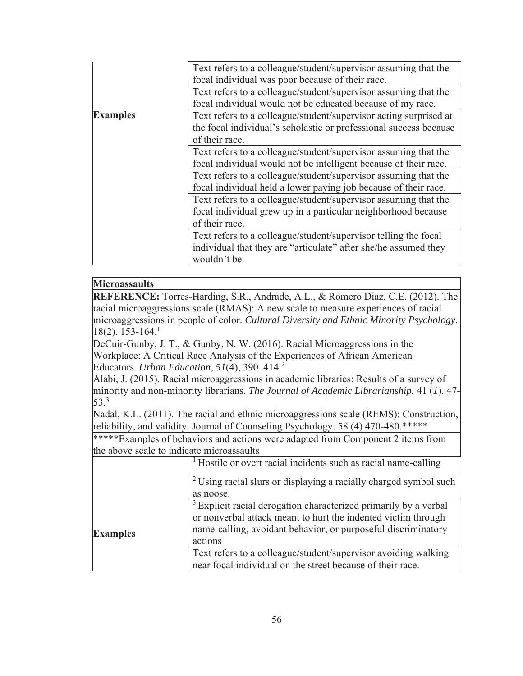|                 | Text refers to a colleague/student/supervisor assuming that the   |
|-----------------|-------------------------------------------------------------------|
|                 | focal individual was poor because of their race.                  |
|                 | Text refers to a colleague/student/supervisor assuming that the   |
|                 | focal individual would not be educated because of my race.        |
| <b>Examples</b> | Text refers to a colleague/student/supervisor acting surprised at |
|                 | the focal individual's scholastic or professional success because |
|                 | of their race.                                                    |
|                 | Text refers to a colleague/student/supervisor assuming that the   |
|                 | focal individual would not be intelligent because of their race.  |
|                 | Text refers to a colleague/student/supervisor assuming that the   |
|                 | focal individual held a lower paying job because of their race.   |
|                 | Text refers to a colleague/student/supervisor assuming that the   |
|                 | focal individual grew up in a particular neighborhood because     |
|                 | of their race.                                                    |
|                 | Text refers to a colleague/student/supervisor telling the focal   |
|                 | individual that they are "articulate" after she/he assumed they   |
|                 | wouldn't be.                                                      |

# **Microassaults**

**REFERENCE:** Torres-Harding, S.R., Andrade, A.L., & Romero Diaz, C.E. (2012). The racial microaggressions scale (RMAS): A new scale to measure experiences of racial microaggressions in people of color. *Cultural Diversity and Ethnic Minority Psychology*.  $18(2)$ . 153-164.<sup>1</sup>

DeCuir-Gunby, J. T., & Gunby, N. W. (2016). Racial Microaggressions in the Workplace: A Critical Race Analysis of the Experiences of African American Educators. *Urban Education*, *51*(4), 390–414.<sup>2</sup>

Alabi, J. (2015). Racial microaggressions in academic libraries: Results of a survey of minority and non-minority librarians. *The Journal of Academic Librarianship.* 41 (*1*). 47- 53.3

Nadal, K.L. (2011). The racial and ethnic microaggressions scale (REMS): Construction, reliability, and validity. Journal of Counseling Psychology. 58 (4) 470-480.\*\*\*\*\*

\*\*\*\*\*Examples of behaviors and actions were adapted from Component 2 items from the above scale to indicate microassaults

|                 | <sup>1</sup> Hostile or overt racial incidents such as racial name-calling                                                                                                                                               |
|-----------------|--------------------------------------------------------------------------------------------------------------------------------------------------------------------------------------------------------------------------|
|                 | <sup>2</sup> Using racial slurs or displaying a racially charged symbol such<br>as noose.                                                                                                                                |
| <b>Examples</b> | <sup>3</sup> Explicit racial derogation characterized primarily by a verbal<br>or nonverbal attack meant to hurt the indented victim through<br>name-calling, avoidant behavior, or purposeful discriminatory<br>actions |
|                 | Text refers to a colleague/student/supervisor avoiding walking<br>near focal individual on the street because of their race.                                                                                             |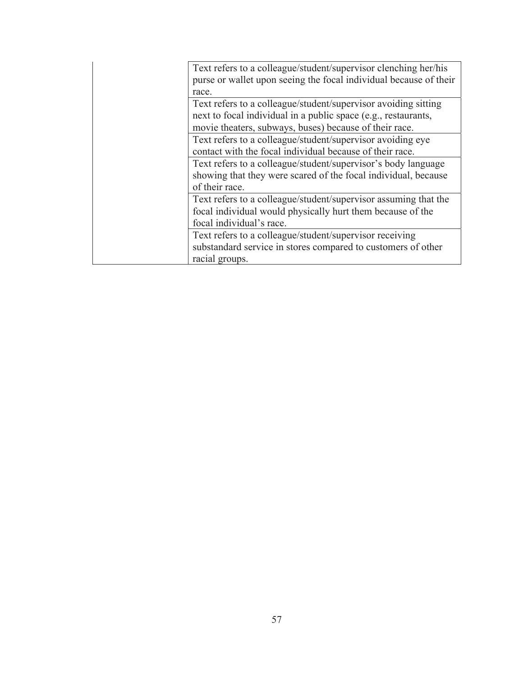| Text refers to a colleague/student/supervisor clenching her/his   |
|-------------------------------------------------------------------|
| purse or wallet upon seeing the focal individual because of their |
| race.                                                             |
| Text refers to a colleague/student/supervisor avoiding sitting    |
| next to focal individual in a public space (e.g., restaurants,    |
| movie theaters, subways, buses) because of their race.            |
| Text refers to a colleague/student/supervisor avoiding eye        |
| contact with the focal individual because of their race.          |
| Text refers to a colleague/student/supervisor's body language     |
| showing that they were scared of the focal individual, because    |
| of their race.                                                    |
| Text refers to a colleague/student/supervisor assuming that the   |
| focal individual would physically hurt them because of the        |
| focal individual's race.                                          |
| Text refers to a colleague/student/supervisor receiving           |
| substandard service in stores compared to customers of other      |
| racial groups.                                                    |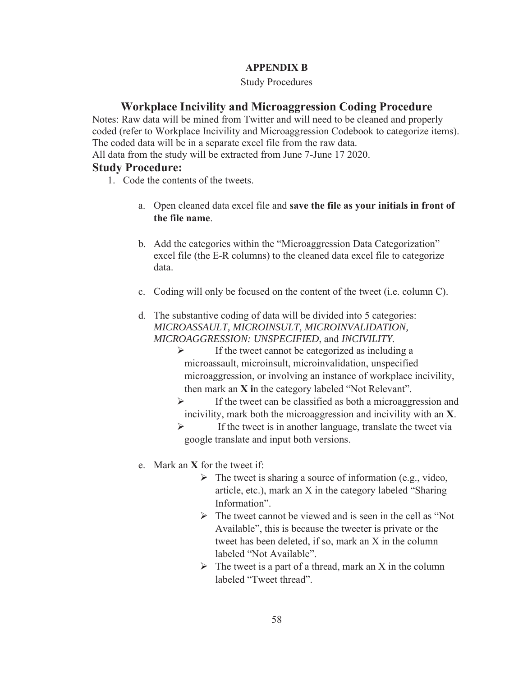# **APPENDIX B**

## Study Procedures

# **Workplace Incivility and Microaggression Coding Procedure**

Notes: Raw data will be mined from Twitter and will need to be cleaned and properly coded (refer to Workplace Incivility and Microaggression Codebook to categorize items). The coded data will be in a separate excel file from the raw data.

All data from the study will be extracted from June 7-June 17 2020.

# **Study Procedure:**

- 1. Code the contents of the tweets.
	- a. Open cleaned data excel file and **save the file as your initials in front of the file name**.
	- b. Add the categories within the "Microaggression Data Categorization" excel file (the E-R columns) to the cleaned data excel file to categorize data.
	- c. Coding will only be focused on the content of the tweet (i.e. column C).
	- d. The substantive coding of data will be divided into 5 categories: *MICROASSAULT, MICROINSULT, MICROINVALIDATION, MICROAGGRESSION: UNSPECIFIED*, and *INCIVILITY.* 
		- $\triangleright$  If the tweet cannot be categorized as including a microassault, microinsult, microinvalidation, unspecified microaggression, or involving an instance of workplace incivility, then mark an **X i**n the category labeled "Not Relevant".
		- $\triangleright$  If the tweet can be classified as both a microaggression and incivility, mark both the microaggression and incivility with an **X**.
		- $\triangleright$  If the tweet is in another language, translate the tweet via google translate and input both versions.
	- e. Mark an **X** for the tweet if:
		- $\triangleright$  The tweet is sharing a source of information (e.g., video, article, etc.), mark an X in the category labeled "Sharing Information".
		- $\triangleright$  The tweet cannot be viewed and is seen in the cell as "Not" Available", this is because the tweeter is private or the tweet has been deleted, if so, mark an X in the column labeled "Not Available".
		- $\triangleright$  The tweet is a part of a thread, mark an X in the column labeled "Tweet thread".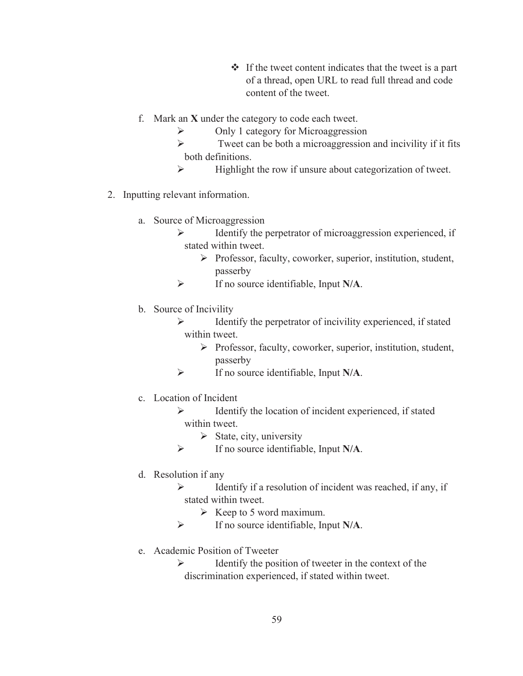- $\cdot \cdot$  If the tweet content indicates that the tweet is a part of a thread, open URL to read full thread and code content of the tweet.
- f. Mark an **X** under the category to code each tweet.
	- ¾ Only 1 category for Microaggression
	- $\triangleright$  Tweet can be both a microaggression and incivility if it fits both definitions.
	- $\triangleright$  Highlight the row if unsure about categorization of tweet.
- 2. Inputting relevant information.
	- a. Source of Microaggression
		- $\triangleright$  Identify the perpetrator of microaggression experienced, if stated within tweet.
			- ¾ Professor, faculty, coworker, superior, institution, student, passerby
		- ¾ If no source identifiable, Input **N/A**.
	- b. Source of Incivility
		- $\triangleright$  Identify the perpetrator of incivility experienced, if stated within tweet.
			- ¾ Professor, faculty, coworker, superior, institution, student, passerby
		- ¾ If no source identifiable, Input **N/A**.
	- c. Location of Incident
		- ¾ Identify the location of incident experienced, if stated within tweet.
			- $\triangleright$  State, city, university
		- ¾ If no source identifiable, Input **N/A**.
	- d. Resolution if any
		- $\triangleright$  Identify if a resolution of incident was reached, if any, if stated within tweet.
			- $\triangleright$  Keep to 5 word maximum.
		- ¾ If no source identifiable, Input **N/A**.
	- e. Academic Position of Tweeter
		- $\triangleright$  Identify the position of tweeter in the context of the discrimination experienced, if stated within tweet.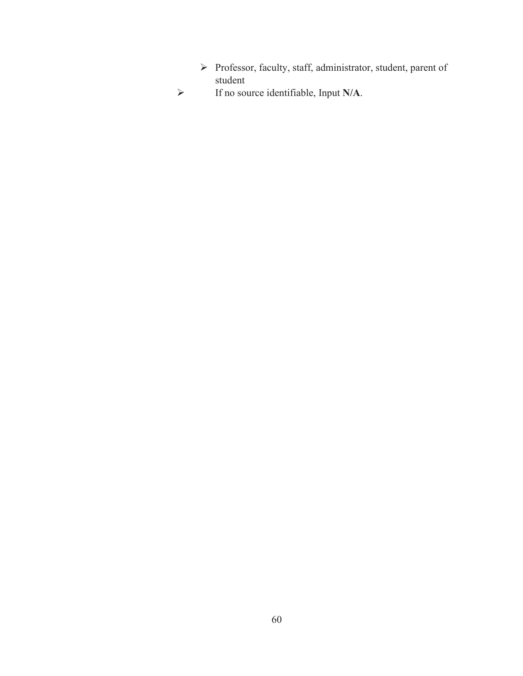- Professor, faculty, staff, administrator, student, parent of student
- If no source identifiable, Input **N/A**.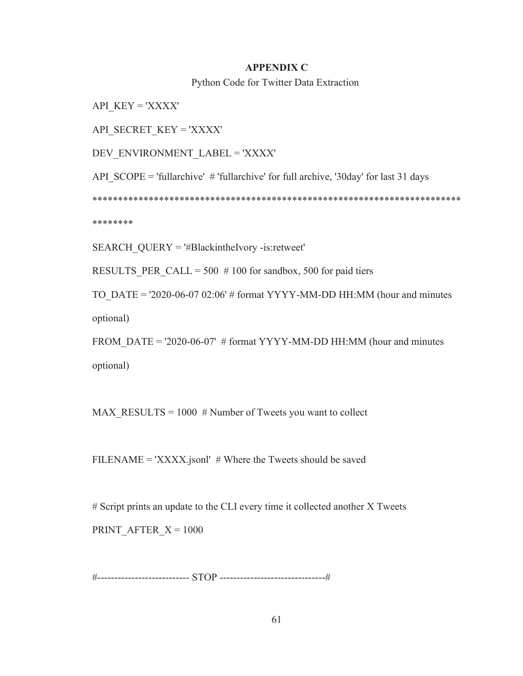#### **APPENDIX C**

Python Code for Twitter Data Extraction

API\_KEY = 'XXXX'

API\_SECRET\_KEY = 'XXXX'

DEV\_ENVIRONMENT\_LABEL = 'XXXX'

API  $SCOPE = 'full archive'$  # 'fullarchive' for full archive, '30day' for last 31 days

\*\*\*\*\*\*\*\*\*\*\*\*\*\*\*\*\*\*\*\*\*\*\*\*\*\*\*\*\*\*\*\*\*\*\*\*\*\*\*\*\*\*\*\*\*\*\*\*\*\*\*\*\*\*\*\*\*\*\*\*\*\*\*\*\*\*\*\*\*\*\*\*

\*\*\*\*\*\*\*\*

SEARCH\_QUERY = '#BlackintheIvory -is:retweet'

RESULTS PER CALL = 500  $# 100$  for sandbox, 500 for paid tiers

TO DATE = '2020-06-07 02:06' # format YYYY-MM-DD HH:MM (hour and minutes optional)

FROM DATE = '2020-06-07' # format YYYY-MM-DD HH:MM (hour and minutes optional)

MAX\_RESULTS = 1000 # Number of Tweets you want to collect

FILENAME = 'XXXX.jsonl'  $#$  Where the Tweets should be saved

# Script prints an update to the CLI every time it collected another X Tweets PRINT AFTER  $X = 1000$ 

#--------------------------- STOP -------------------------------#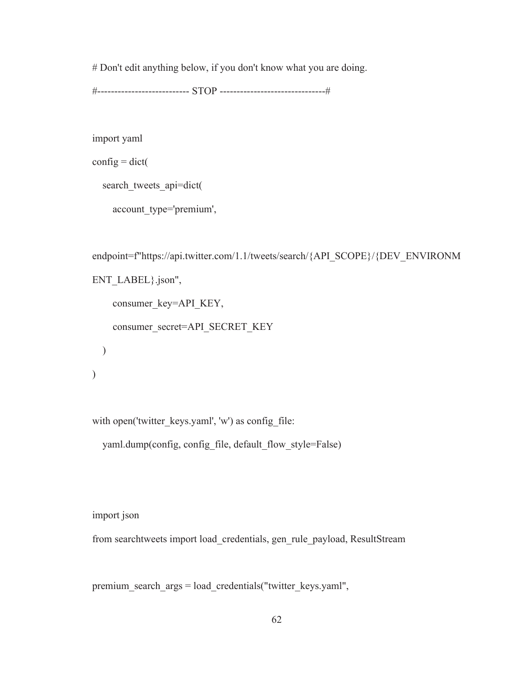# Don't edit anything below, if you don't know what you are doing.

#--------------------------- STOP -------------------------------#

import yaml

 $\text{config} = \text{dict}$ (

search tweets api=dict(

account\_type='premium',

```
endpoint=f"https://api.twitter.com/1.1/tweets/search/{API_SCOPE}/{DEV_ENVIRONM
ENT_LABEL}.json",
    consumer_key=API_KEY,
     consumer_secret=API_SECRET_KEY 
  ) 
)
```
with open('twitter\_keys.yaml', 'w') as config\_file:

yaml.dump(config, config\_file, default\_flow\_style=False)

import json

from searchtweets import load\_credentials, gen\_rule\_payload, ResultStream

premium\_search\_args = load\_credentials("twitter\_keys.yaml",